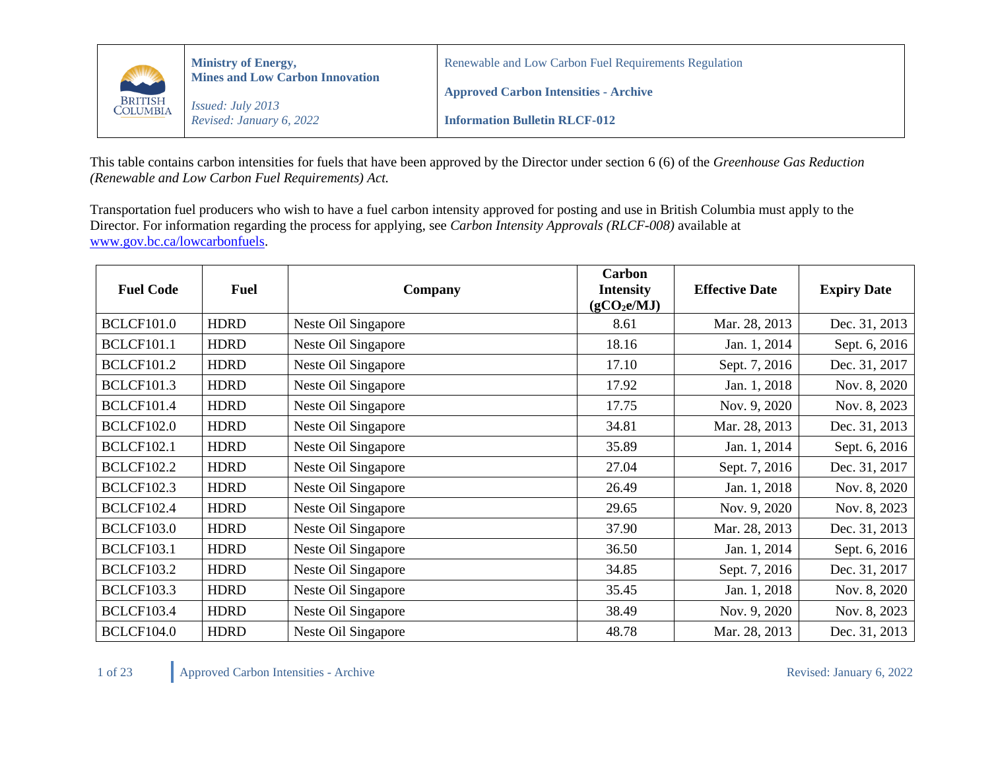

This table contains carbon intensities for fuels that have been approved by the Director under section 6 (6) of the *Greenhouse Gas Reduction (Renewable and Low Carbon Fuel Requirements) Act.*

Transportation fuel producers who wish to have a fuel carbon intensity approved for posting and use in British Columbia must apply to the Director. For information regarding the process for applying, see *Carbon Intensity Approvals (RLCF-008)* available at [www.gov.bc.ca/lowcarbonfuels.](http://www.gov.bc.ca/lowcarbonfuels)

| <b>Fuel Code</b>  | <b>Fuel</b> | Company             | Carbon<br><b>Intensity</b><br>(gCO <sub>2</sub> e/MJ) | <b>Effective Date</b> | <b>Expiry Date</b> |
|-------------------|-------------|---------------------|-------------------------------------------------------|-----------------------|--------------------|
| <b>BCLCF101.0</b> | <b>HDRD</b> | Neste Oil Singapore | 8.61                                                  | Mar. 28, 2013         | Dec. 31, 2013      |
| <b>BCLCF101.1</b> | <b>HDRD</b> | Neste Oil Singapore | 18.16                                                 | Jan. 1, 2014          | Sept. 6, 2016      |
| <b>BCLCF101.2</b> | <b>HDRD</b> | Neste Oil Singapore | 17.10                                                 | Sept. 7, 2016         | Dec. 31, 2017      |
| <b>BCLCF101.3</b> | <b>HDRD</b> | Neste Oil Singapore | 17.92                                                 | Jan. 1, 2018          | Nov. 8, 2020       |
| <b>BCLCF101.4</b> | <b>HDRD</b> | Neste Oil Singapore | 17.75                                                 | Nov. 9, 2020          | Nov. 8, 2023       |
| <b>BCLCF102.0</b> | <b>HDRD</b> | Neste Oil Singapore | 34.81                                                 | Mar. 28, 2013         | Dec. 31, 2013      |
| <b>BCLCF102.1</b> | <b>HDRD</b> | Neste Oil Singapore | 35.89                                                 | Jan. 1, 2014          | Sept. 6, 2016      |
| <b>BCLCF102.2</b> | <b>HDRD</b> | Neste Oil Singapore | 27.04                                                 | Sept. 7, 2016         | Dec. 31, 2017      |
| <b>BCLCF102.3</b> | <b>HDRD</b> | Neste Oil Singapore | 26.49                                                 | Jan. 1, 2018          | Nov. 8, 2020       |
| <b>BCLCF102.4</b> | <b>HDRD</b> | Neste Oil Singapore | 29.65                                                 | Nov. 9, 2020          | Nov. 8, 2023       |
| <b>BCLCF103.0</b> | <b>HDRD</b> | Neste Oil Singapore | 37.90                                                 | Mar. 28, 2013         | Dec. 31, 2013      |
| <b>BCLCF103.1</b> | <b>HDRD</b> | Neste Oil Singapore | 36.50                                                 | Jan. 1, 2014          | Sept. 6, 2016      |
| <b>BCLCF103.2</b> | <b>HDRD</b> | Neste Oil Singapore | 34.85                                                 | Sept. 7, 2016         | Dec. 31, 2017      |
| <b>BCLCF103.3</b> | <b>HDRD</b> | Neste Oil Singapore | 35.45                                                 | Jan. 1, 2018          | Nov. 8, 2020       |
| <b>BCLCF103.4</b> | <b>HDRD</b> | Neste Oil Singapore | 38.49                                                 | Nov. 9, 2020          | Nov. 8, 2023       |
| <b>BCLCF104.0</b> | <b>HDRD</b> | Neste Oil Singapore | 48.78                                                 | Mar. 28, 2013         | Dec. 31, 2013      |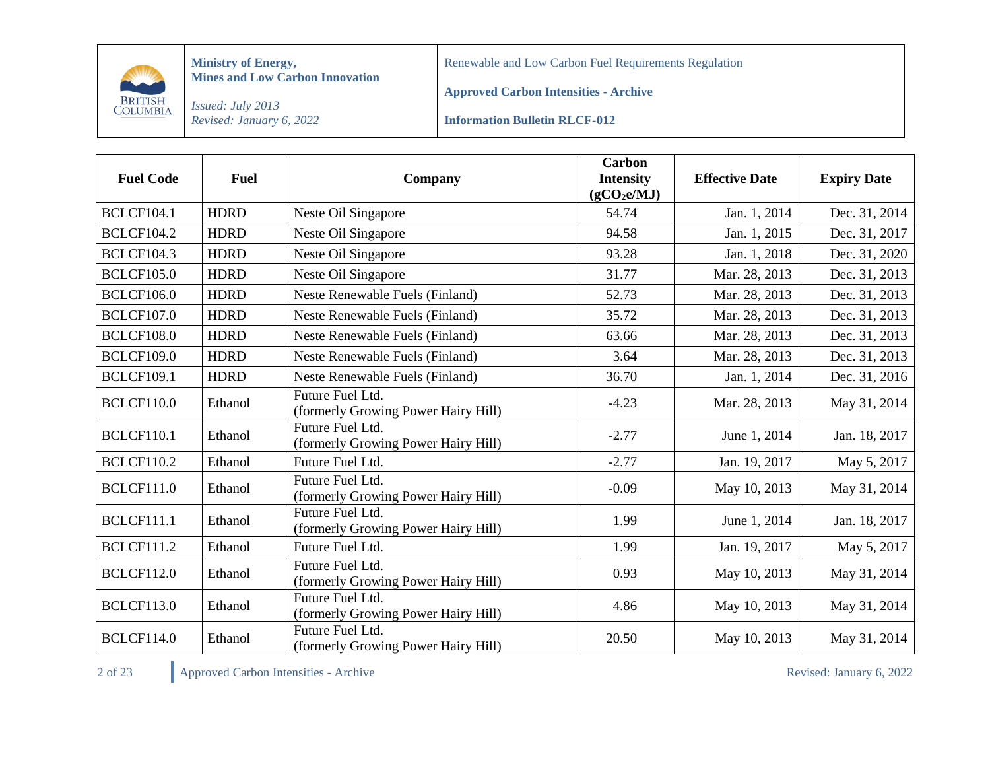

Renewable and Low Carbon Fuel Requirements Regulation

**Approved Carbon Intensities - Archive**

*Issued: July 2013 Revised: January 6, 2022*

**Information Bulletin RLCF-012**

| <b>Fuel Code</b>  | <b>Fuel</b> | Company                                                 | <b>Carbon</b><br><b>Intensity</b><br>(gCO <sub>2</sub> e/MJ) | <b>Effective Date</b> | <b>Expiry Date</b> |
|-------------------|-------------|---------------------------------------------------------|--------------------------------------------------------------|-----------------------|--------------------|
| <b>BCLCF104.1</b> | <b>HDRD</b> | Neste Oil Singapore                                     | 54.74                                                        | Jan. 1, 2014          | Dec. 31, 2014      |
| <b>BCLCF104.2</b> | <b>HDRD</b> | Neste Oil Singapore                                     | 94.58                                                        | Jan. 1, 2015          | Dec. 31, 2017      |
| <b>BCLCF104.3</b> | <b>HDRD</b> | Neste Oil Singapore                                     | 93.28                                                        | Jan. 1, 2018          | Dec. 31, 2020      |
| <b>BCLCF105.0</b> | <b>HDRD</b> | Neste Oil Singapore                                     | 31.77                                                        | Mar. 28, 2013         | Dec. 31, 2013      |
| <b>BCLCF106.0</b> | <b>HDRD</b> | Neste Renewable Fuels (Finland)                         | 52.73                                                        | Mar. 28, 2013         | Dec. 31, 2013      |
| <b>BCLCF107.0</b> | <b>HDRD</b> | <b>Neste Renewable Fuels (Finland)</b>                  | 35.72                                                        | Mar. 28, 2013         | Dec. 31, 2013      |
| <b>BCLCF108.0</b> | <b>HDRD</b> | Neste Renewable Fuels (Finland)                         | 63.66                                                        | Mar. 28, 2013         | Dec. 31, 2013      |
| <b>BCLCF109.0</b> | <b>HDRD</b> | Neste Renewable Fuels (Finland)                         | 3.64                                                         | Mar. 28, 2013         | Dec. 31, 2013      |
| <b>BCLCF109.1</b> | <b>HDRD</b> | Neste Renewable Fuels (Finland)                         | 36.70                                                        | Jan. 1, 2014          | Dec. 31, 2016      |
| <b>BCLCF110.0</b> | Ethanol     | Future Fuel Ltd.<br>(formerly Growing Power Hairy Hill) | $-4.23$                                                      | Mar. 28, 2013         | May 31, 2014       |
| <b>BCLCF110.1</b> | Ethanol     | Future Fuel Ltd.<br>(formerly Growing Power Hairy Hill) | $-2.77$                                                      | June 1, 2014          | Jan. 18, 2017      |
| <b>BCLCF110.2</b> | Ethanol     | Future Fuel Ltd.                                        | $-2.77$                                                      | Jan. 19, 2017         | May 5, 2017        |
| <b>BCLCF111.0</b> | Ethanol     | Future Fuel Ltd.<br>(formerly Growing Power Hairy Hill) | $-0.09$                                                      | May 10, 2013          | May 31, 2014       |
| <b>BCLCF111.1</b> | Ethanol     | Future Fuel Ltd.<br>(formerly Growing Power Hairy Hill) | 1.99                                                         | June 1, 2014          | Jan. 18, 2017      |
| <b>BCLCF111.2</b> | Ethanol     | Future Fuel Ltd.                                        | 1.99                                                         | Jan. 19, 2017         | May 5, 2017        |
| <b>BCLCF112.0</b> | Ethanol     | Future Fuel Ltd.<br>(formerly Growing Power Hairy Hill) | 0.93                                                         | May 10, 2013          | May 31, 2014       |
| <b>BCLCF113.0</b> | Ethanol     | Future Fuel Ltd.<br>(formerly Growing Power Hairy Hill) | 4.86                                                         | May 10, 2013          | May 31, 2014       |
| <b>BCLCF114.0</b> | Ethanol     | Future Fuel Ltd.<br>(formerly Growing Power Hairy Hill) | 20.50                                                        | May 10, 2013          | May 31, 2014       |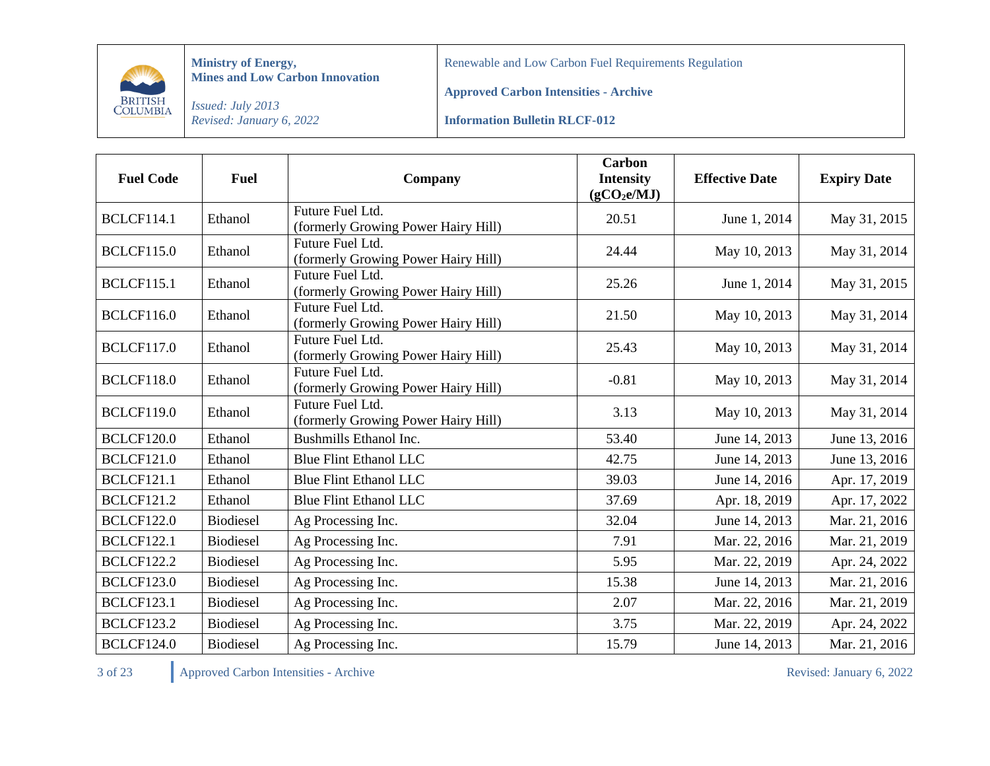

Renewable and Low Carbon Fuel Requirements Regulation

**Approved Carbon Intensities - Archive**

*Issued: July 2013 Revised: January 6, 2022*

**Information Bulletin RLCF-012**

| <b>Fuel Code</b>  | <b>Fuel</b>      | Company                                                 | <b>Carbon</b><br><b>Intensity</b><br>(gCO <sub>2</sub> e/MJ) | <b>Effective Date</b> | <b>Expiry Date</b> |
|-------------------|------------------|---------------------------------------------------------|--------------------------------------------------------------|-----------------------|--------------------|
| <b>BCLCF114.1</b> | Ethanol          | Future Fuel Ltd.<br>(formerly Growing Power Hairy Hill) | 20.51                                                        | June 1, 2014          | May 31, 2015       |
| <b>BCLCF115.0</b> | Ethanol          | Future Fuel Ltd.<br>(formerly Growing Power Hairy Hill) | 24.44                                                        | May 10, 2013          | May 31, 2014       |
| <b>BCLCF115.1</b> | Ethanol          | Future Fuel Ltd.<br>(formerly Growing Power Hairy Hill) | 25.26                                                        | June 1, 2014          | May 31, 2015       |
| <b>BCLCF116.0</b> | Ethanol          | Future Fuel Ltd.<br>(formerly Growing Power Hairy Hill) | 21.50                                                        | May 10, 2013          | May 31, 2014       |
| <b>BCLCF117.0</b> | Ethanol          | Future Fuel Ltd.<br>(formerly Growing Power Hairy Hill) | 25.43                                                        | May 10, 2013          | May 31, 2014       |
| <b>BCLCF118.0</b> | Ethanol          | Future Fuel Ltd.<br>(formerly Growing Power Hairy Hill) | $-0.81$                                                      | May 10, 2013          | May 31, 2014       |
| <b>BCLCF119.0</b> | Ethanol          | Future Fuel Ltd.<br>(formerly Growing Power Hairy Hill) | 3.13                                                         | May 10, 2013          | May 31, 2014       |
| <b>BCLCF120.0</b> | Ethanol          | Bushmills Ethanol Inc.                                  | 53.40                                                        | June 14, 2013         | June 13, 2016      |
| <b>BCLCF121.0</b> | Ethanol          | <b>Blue Flint Ethanol LLC</b>                           | 42.75                                                        | June 14, 2013         | June 13, 2016      |
| <b>BCLCF121.1</b> | Ethanol          | <b>Blue Flint Ethanol LLC</b>                           | 39.03                                                        | June 14, 2016         | Apr. 17, 2019      |
| <b>BCLCF121.2</b> | Ethanol          | <b>Blue Flint Ethanol LLC</b>                           | 37.69                                                        | Apr. 18, 2019         | Apr. 17, 2022      |
| <b>BCLCF122.0</b> | <b>Biodiesel</b> | Ag Processing Inc.                                      | 32.04                                                        | June 14, 2013         | Mar. 21, 2016      |
| <b>BCLCF122.1</b> | <b>Biodiesel</b> | Ag Processing Inc.                                      | 7.91                                                         | Mar. 22, 2016         | Mar. 21, 2019      |
| <b>BCLCF122.2</b> | <b>Biodiesel</b> | Ag Processing Inc.                                      | 5.95                                                         | Mar. 22, 2019         | Apr. 24, 2022      |
| <b>BCLCF123.0</b> | <b>Biodiesel</b> | Ag Processing Inc.                                      | 15.38                                                        | June 14, 2013         | Mar. 21, 2016      |
| <b>BCLCF123.1</b> | <b>Biodiesel</b> | Ag Processing Inc.                                      | 2.07                                                         | Mar. 22, 2016         | Mar. 21, 2019      |
| <b>BCLCF123.2</b> | <b>Biodiesel</b> | Ag Processing Inc.                                      | 3.75                                                         | Mar. 22, 2019         | Apr. 24, 2022      |
| <b>BCLCF124.0</b> | <b>Biodiesel</b> | Ag Processing Inc.                                      | 15.79                                                        | June 14, 2013         | Mar. 21, 2016      |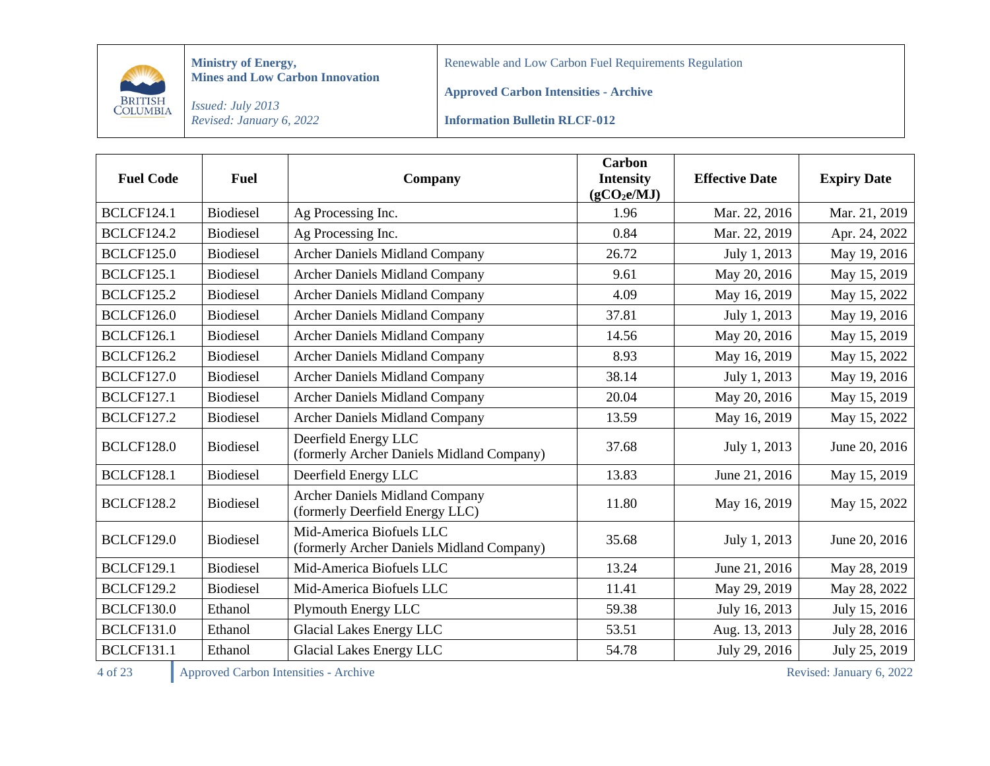

Renewable and Low Carbon Fuel Requirements Regulation

**Approved Carbon Intensities - Archive**

*Issued: July 2013 Revised: January 6, 2022*

**Information Bulletin RLCF-012**

| <b>Fuel Code</b>  | <b>Fuel</b>      | Company                                                                  | <b>Carbon</b><br><b>Intensity</b><br>(gCO <sub>2</sub> e/MJ) | <b>Effective Date</b> | <b>Expiry Date</b> |
|-------------------|------------------|--------------------------------------------------------------------------|--------------------------------------------------------------|-----------------------|--------------------|
| <b>BCLCF124.1</b> | <b>Biodiesel</b> | Ag Processing Inc.                                                       | 1.96                                                         | Mar. 22, 2016         | Mar. 21, 2019      |
| <b>BCLCF124.2</b> | <b>Biodiesel</b> | Ag Processing Inc.                                                       | 0.84                                                         | Mar. 22, 2019         | Apr. 24, 2022      |
| <b>BCLCF125.0</b> | <b>Biodiesel</b> | <b>Archer Daniels Midland Company</b>                                    | 26.72                                                        | July 1, 2013          | May 19, 2016       |
| <b>BCLCF125.1</b> | <b>Biodiesel</b> | <b>Archer Daniels Midland Company</b>                                    | 9.61                                                         | May 20, 2016          | May 15, 2019       |
| <b>BCLCF125.2</b> | <b>Biodiesel</b> | <b>Archer Daniels Midland Company</b>                                    | 4.09                                                         | May 16, 2019          | May 15, 2022       |
| <b>BCLCF126.0</b> | <b>Biodiesel</b> | <b>Archer Daniels Midland Company</b>                                    | 37.81                                                        | July 1, 2013          | May 19, 2016       |
| <b>BCLCF126.1</b> | <b>Biodiesel</b> | <b>Archer Daniels Midland Company</b>                                    | 14.56                                                        | May 20, 2016          | May 15, 2019       |
| <b>BCLCF126.2</b> | <b>Biodiesel</b> | <b>Archer Daniels Midland Company</b>                                    | 8.93                                                         | May 16, 2019          | May 15, 2022       |
| <b>BCLCF127.0</b> | <b>Biodiesel</b> | <b>Archer Daniels Midland Company</b>                                    | 38.14                                                        | July 1, 2013          | May 19, 2016       |
| <b>BCLCF127.1</b> | <b>Biodiesel</b> | <b>Archer Daniels Midland Company</b>                                    | 20.04                                                        | May 20, 2016          | May 15, 2019       |
| <b>BCLCF127.2</b> | <b>Biodiesel</b> | <b>Archer Daniels Midland Company</b>                                    | 13.59                                                        | May 16, 2019          | May 15, 2022       |
| <b>BCLCF128.0</b> | <b>Biodiesel</b> | Deerfield Energy LLC<br>(formerly Archer Daniels Midland Company)        | 37.68                                                        | July 1, 2013          | June 20, 2016      |
| <b>BCLCF128.1</b> | <b>Biodiesel</b> | Deerfield Energy LLC                                                     | 13.83                                                        | June 21, 2016         | May 15, 2019       |
| <b>BCLCF128.2</b> | <b>Biodiesel</b> | <b>Archer Daniels Midland Company</b><br>(formerly Deerfield Energy LLC) | 11.80                                                        | May 16, 2019          | May 15, 2022       |
| <b>BCLCF129.0</b> | <b>Biodiesel</b> | Mid-America Biofuels LLC<br>(formerly Archer Daniels Midland Company)    | 35.68                                                        | July 1, 2013          | June 20, 2016      |
| <b>BCLCF129.1</b> | <b>Biodiesel</b> | Mid-America Biofuels LLC                                                 | 13.24                                                        | June 21, 2016         | May 28, 2019       |
| <b>BCLCF129.2</b> | <b>Biodiesel</b> | Mid-America Biofuels LLC                                                 | 11.41                                                        | May 29, 2019          | May 28, 2022       |
| <b>BCLCF130.0</b> | Ethanol          | Plymouth Energy LLC                                                      | 59.38                                                        | July 16, 2013         | July 15, 2016      |
| <b>BCLCF131.0</b> | Ethanol          | Glacial Lakes Energy LLC                                                 | 53.51                                                        | Aug. 13, 2013         | July 28, 2016      |
| <b>BCLCF131.1</b> | Ethanol          | Glacial Lakes Energy LLC                                                 | 54.78                                                        | July 29, 2016         | July 25, 2019      |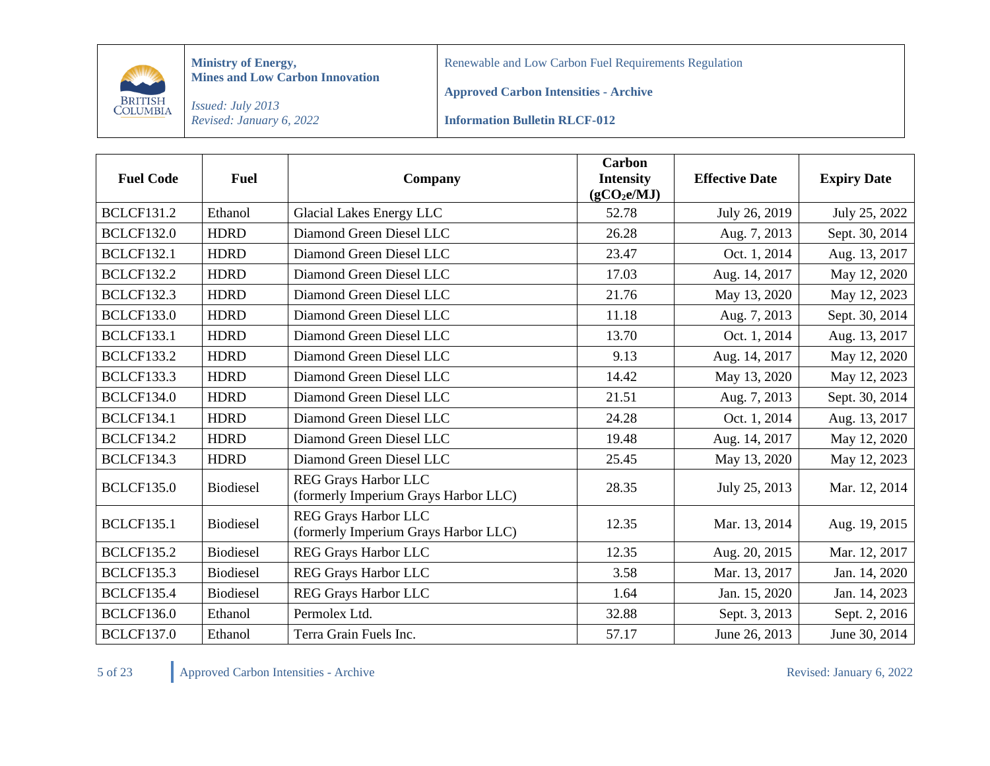

Renewable and Low Carbon Fuel Requirements Regulation

**Approved Carbon Intensities - Archive**

*Issued: July 2013 Revised: January 6, 2022*

**Information Bulletin RLCF-012**

| <b>Fuel Code</b>  | <b>Fuel</b>      | Company                                                             | <b>Carbon</b><br><b>Intensity</b><br>(gCO <sub>2</sub> e/MJ) | <b>Effective Date</b> | <b>Expiry Date</b> |
|-------------------|------------------|---------------------------------------------------------------------|--------------------------------------------------------------|-----------------------|--------------------|
| <b>BCLCF131.2</b> | Ethanol          | Glacial Lakes Energy LLC                                            | 52.78                                                        | July 26, 2019         | July 25, 2022      |
| <b>BCLCF132.0</b> | <b>HDRD</b>      | Diamond Green Diesel LLC                                            | 26.28                                                        | Aug. 7, 2013          | Sept. 30, 2014     |
| <b>BCLCF132.1</b> | <b>HDRD</b>      | Diamond Green Diesel LLC                                            | 23.47                                                        | Oct. 1, 2014          | Aug. 13, 2017      |
| <b>BCLCF132.2</b> | <b>HDRD</b>      | Diamond Green Diesel LLC                                            | 17.03                                                        | Aug. 14, 2017         | May 12, 2020       |
| <b>BCLCF132.3</b> | <b>HDRD</b>      | Diamond Green Diesel LLC                                            | 21.76                                                        | May 13, 2020          | May 12, 2023       |
| <b>BCLCF133.0</b> | <b>HDRD</b>      | Diamond Green Diesel LLC                                            | 11.18                                                        | Aug. 7, 2013          | Sept. 30, 2014     |
| <b>BCLCF133.1</b> | <b>HDRD</b>      | Diamond Green Diesel LLC                                            | 13.70                                                        | Oct. 1, 2014          | Aug. 13, 2017      |
| <b>BCLCF133.2</b> | <b>HDRD</b>      | Diamond Green Diesel LLC                                            | 9.13                                                         | Aug. 14, 2017         | May 12, 2020       |
| <b>BCLCF133.3</b> | <b>HDRD</b>      | Diamond Green Diesel LLC                                            | 14.42                                                        | May 13, 2020          | May 12, 2023       |
| <b>BCLCF134.0</b> | <b>HDRD</b>      | Diamond Green Diesel LLC                                            | 21.51                                                        | Aug. 7, 2013          | Sept. 30, 2014     |
| <b>BCLCF134.1</b> | <b>HDRD</b>      | Diamond Green Diesel LLC                                            | 24.28                                                        | Oct. 1, 2014          | Aug. 13, 2017      |
| <b>BCLCF134.2</b> | <b>HDRD</b>      | Diamond Green Diesel LLC                                            | 19.48                                                        | Aug. 14, 2017         | May 12, 2020       |
| <b>BCLCF134.3</b> | <b>HDRD</b>      | Diamond Green Diesel LLC                                            | 25.45                                                        | May 13, 2020          | May 12, 2023       |
| <b>BCLCF135.0</b> | <b>Biodiesel</b> | <b>REG Grays Harbor LLC</b><br>(formerly Imperium Grays Harbor LLC) | 28.35                                                        | July 25, 2013         | Mar. 12, 2014      |
| <b>BCLCF135.1</b> | <b>Biodiesel</b> | <b>REG Grays Harbor LLC</b><br>(formerly Imperium Grays Harbor LLC) | 12.35                                                        | Mar. 13, 2014         | Aug. 19, 2015      |
| <b>BCLCF135.2</b> | <b>Biodiesel</b> | <b>REG Grays Harbor LLC</b>                                         | 12.35                                                        | Aug. 20, 2015         | Mar. 12, 2017      |
| <b>BCLCF135.3</b> | <b>Biodiesel</b> | REG Grays Harbor LLC                                                | 3.58                                                         | Mar. 13, 2017         | Jan. 14, 2020      |
| <b>BCLCF135.4</b> | <b>Biodiesel</b> | REG Grays Harbor LLC                                                | 1.64                                                         | Jan. 15, 2020         | Jan. 14, 2023      |
| <b>BCLCF136.0</b> | Ethanol          | Permolex Ltd.                                                       | 32.88                                                        | Sept. 3, 2013         | Sept. 2, 2016      |
| <b>BCLCF137.0</b> | Ethanol          | Terra Grain Fuels Inc.                                              | 57.17                                                        | June 26, 2013         | June 30, 2014      |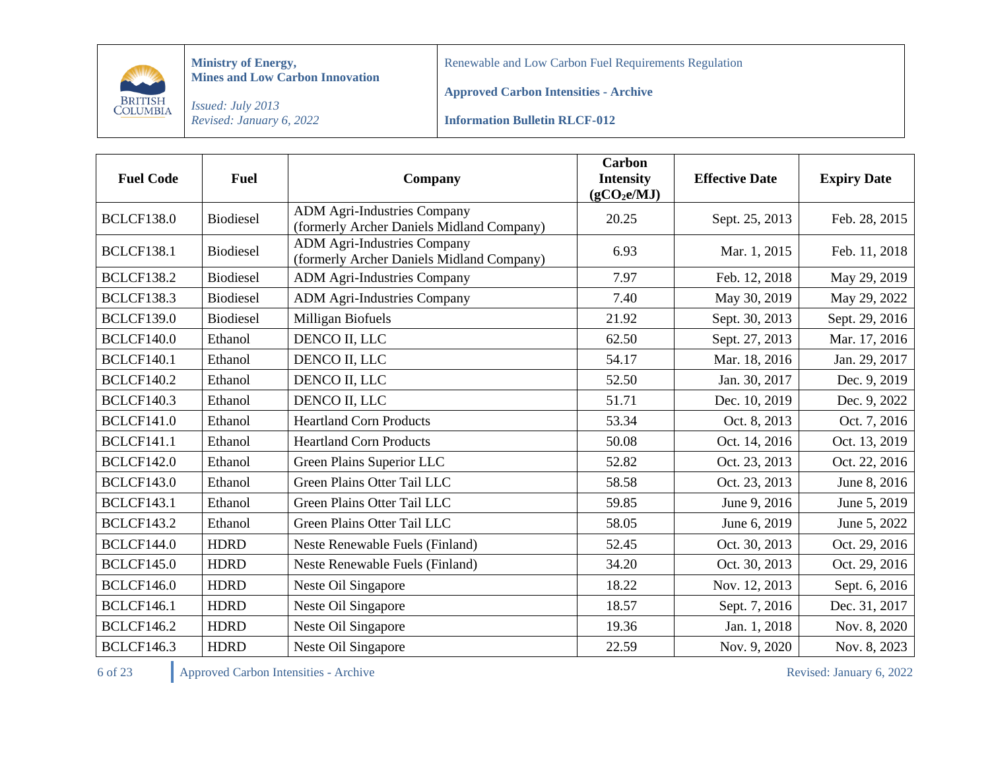

Renewable and Low Carbon Fuel Requirements Regulation

**Approved Carbon Intensities - Archive**

*Issued: July 2013 Revised: January 6, 2022*

**Information Bulletin RLCF-012**

| <b>Fuel Code</b>  | <b>Fuel</b>      | Company                                                                         | Carbon<br><b>Intensity</b><br>(gCO <sub>2</sub> e/MJ) | <b>Effective Date</b> | <b>Expiry Date</b> |
|-------------------|------------------|---------------------------------------------------------------------------------|-------------------------------------------------------|-----------------------|--------------------|
| <b>BCLCF138.0</b> | <b>Biodiesel</b> | <b>ADM Agri-Industries Company</b><br>(formerly Archer Daniels Midland Company) | 20.25                                                 | Sept. 25, 2013        | Feb. 28, 2015      |
| <b>BCLCF138.1</b> | <b>Biodiesel</b> | <b>ADM Agri-Industries Company</b><br>(formerly Archer Daniels Midland Company) | 6.93                                                  | Mar. 1, 2015          | Feb. 11, 2018      |
| <b>BCLCF138.2</b> | <b>Biodiesel</b> | <b>ADM Agri-Industries Company</b>                                              | 7.97                                                  | Feb. 12, 2018         | May 29, 2019       |
| <b>BCLCF138.3</b> | <b>Biodiesel</b> | <b>ADM Agri-Industries Company</b>                                              | 7.40                                                  | May 30, 2019          | May 29, 2022       |
| <b>BCLCF139.0</b> | <b>Biodiesel</b> | Milligan Biofuels                                                               | 21.92                                                 | Sept. 30, 2013        | Sept. 29, 2016     |
| <b>BCLCF140.0</b> | Ethanol          | DENCO II, LLC                                                                   | 62.50                                                 | Sept. 27, 2013        | Mar. 17, 2016      |
| <b>BCLCF140.1</b> | Ethanol          | DENCO II, LLC                                                                   | 54.17                                                 | Mar. 18, 2016         | Jan. 29, 2017      |
| <b>BCLCF140.2</b> | Ethanol          | DENCO II, LLC                                                                   | 52.50                                                 | Jan. 30, 2017         | Dec. 9, 2019       |
| <b>BCLCF140.3</b> | Ethanol          | DENCO II, LLC                                                                   | 51.71                                                 | Dec. 10, 2019         | Dec. 9, 2022       |
| <b>BCLCF141.0</b> | Ethanol          | <b>Heartland Corn Products</b>                                                  | 53.34                                                 | Oct. 8, 2013          | Oct. 7, 2016       |
| <b>BCLCF141.1</b> | Ethanol          | <b>Heartland Corn Products</b>                                                  | 50.08                                                 | Oct. 14, 2016         | Oct. 13, 2019      |
| <b>BCLCF142.0</b> | Ethanol          | Green Plains Superior LLC                                                       | 52.82                                                 | Oct. 23, 2013         | Oct. 22, 2016      |
| <b>BCLCF143.0</b> | Ethanol          | Green Plains Otter Tail LLC                                                     | 58.58                                                 | Oct. 23, 2013         | June 8, 2016       |
| <b>BCLCF143.1</b> | Ethanol          | Green Plains Otter Tail LLC                                                     | 59.85                                                 | June 9, 2016          | June 5, 2019       |
| <b>BCLCF143.2</b> | Ethanol          | Green Plains Otter Tail LLC                                                     | 58.05                                                 | June 6, 2019          | June 5, 2022       |
| <b>BCLCF144.0</b> | <b>HDRD</b>      | Neste Renewable Fuels (Finland)                                                 | 52.45                                                 | Oct. 30, 2013         | Oct. 29, 2016      |
| <b>BCLCF145.0</b> | <b>HDRD</b>      | Neste Renewable Fuels (Finland)                                                 | 34.20                                                 | Oct. 30, 2013         | Oct. 29, 2016      |
| <b>BCLCF146.0</b> | <b>HDRD</b>      | Neste Oil Singapore                                                             | 18.22                                                 | Nov. 12, 2013         | Sept. 6, 2016      |
| <b>BCLCF146.1</b> | <b>HDRD</b>      | Neste Oil Singapore                                                             | 18.57                                                 | Sept. 7, 2016         | Dec. 31, 2017      |
| <b>BCLCF146.2</b> | <b>HDRD</b>      | Neste Oil Singapore                                                             | 19.36                                                 | Jan. 1, 2018          | Nov. 8, 2020       |
| <b>BCLCF146.3</b> | <b>HDRD</b>      | Neste Oil Singapore                                                             | 22.59                                                 | Nov. 9, 2020          | Nov. 8, 2023       |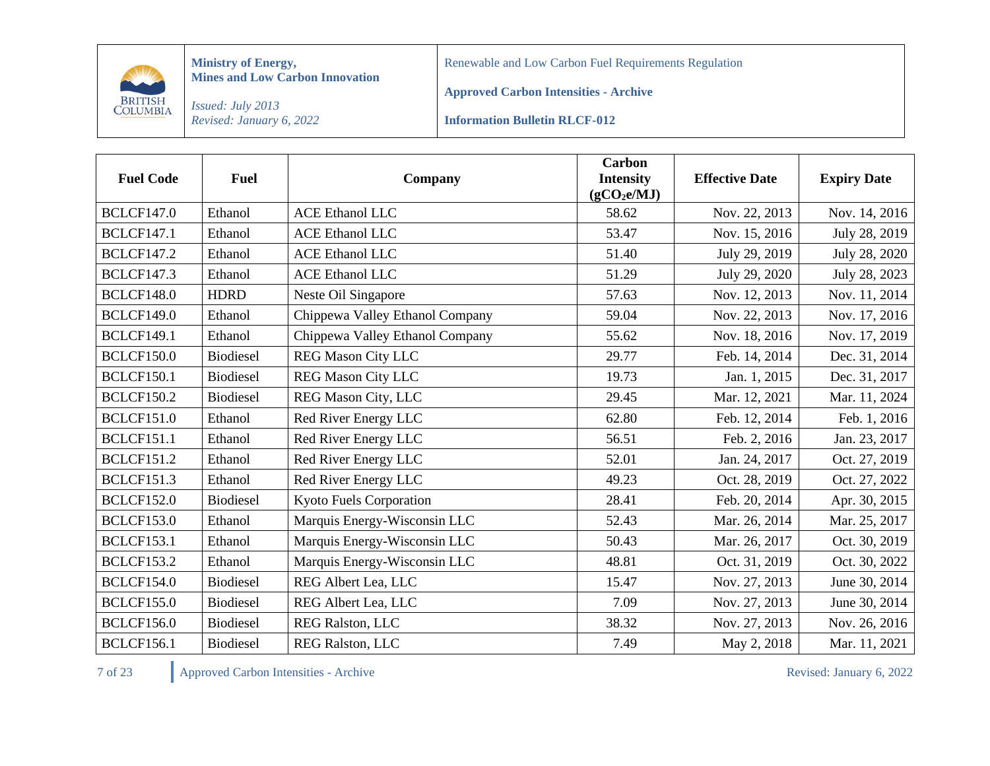

Renewable and Low Carbon Fuel Requirements Regulation

**Approved Carbon Intensities - Archive**

*Issued: July 2013 Revised: January 6, 2022*

**Information Bulletin RLCF-012**

| <b>Fuel Code</b>  | <b>Fuel</b>      | Company                         | <b>Carbon</b><br><b>Intensity</b><br>(gCO <sub>2</sub> e/MJ) | <b>Effective Date</b> | <b>Expiry Date</b> |
|-------------------|------------------|---------------------------------|--------------------------------------------------------------|-----------------------|--------------------|
| <b>BCLCF147.0</b> | Ethanol          | <b>ACE Ethanol LLC</b>          | 58.62                                                        | Nov. 22, 2013         | Nov. 14, 2016      |
| <b>BCLCF147.1</b> | Ethanol          | <b>ACE Ethanol LLC</b>          | 53.47                                                        | Nov. 15, 2016         | July 28, 2019      |
| <b>BCLCF147.2</b> | Ethanol          | <b>ACE Ethanol LLC</b>          | 51.40                                                        | July 29, 2019         | July 28, 2020      |
| <b>BCLCF147.3</b> | Ethanol          | <b>ACE Ethanol LLC</b>          | 51.29                                                        | July 29, 2020         | July 28, 2023      |
| <b>BCLCF148.0</b> | <b>HDRD</b>      | Neste Oil Singapore             | 57.63                                                        | Nov. 12, 2013         | Nov. 11, 2014      |
| <b>BCLCF149.0</b> | Ethanol          | Chippewa Valley Ethanol Company | 59.04                                                        | Nov. 22, 2013         | Nov. 17, 2016      |
| <b>BCLCF149.1</b> | Ethanol          | Chippewa Valley Ethanol Company | 55.62                                                        | Nov. 18, 2016         | Nov. 17, 2019      |
| <b>BCLCF150.0</b> | <b>Biodiesel</b> | <b>REG Mason City LLC</b>       | 29.77                                                        | Feb. 14, 2014         | Dec. 31, 2014      |
| <b>BCLCF150.1</b> | <b>Biodiesel</b> | <b>REG Mason City LLC</b>       | 19.73                                                        | Jan. 1, 2015          | Dec. 31, 2017      |
| <b>BCLCF150.2</b> | <b>Biodiesel</b> | REG Mason City, LLC             | 29.45                                                        | Mar. 12, 2021         | Mar. 11, 2024      |
| <b>BCLCF151.0</b> | Ethanol          | Red River Energy LLC            | 62.80                                                        | Feb. 12, 2014         | Feb. 1, 2016       |
| <b>BCLCF151.1</b> | Ethanol          | Red River Energy LLC            | 56.51                                                        | Feb. 2, 2016          | Jan. 23, 2017      |
| <b>BCLCF151.2</b> | Ethanol          | Red River Energy LLC            | 52.01                                                        | Jan. 24, 2017         | Oct. 27, 2019      |
| <b>BCLCF151.3</b> | Ethanol          | Red River Energy LLC            | 49.23                                                        | Oct. 28, 2019         | Oct. 27, 2022      |
| <b>BCLCF152.0</b> | <b>Biodiesel</b> | Kyoto Fuels Corporation         | 28.41                                                        | Feb. 20, 2014         | Apr. 30, 2015      |
| <b>BCLCF153.0</b> | Ethanol          | Marquis Energy-Wisconsin LLC    | 52.43                                                        | Mar. 26, 2014         | Mar. 25, 2017      |
| <b>BCLCF153.1</b> | Ethanol          | Marquis Energy-Wisconsin LLC    | 50.43                                                        | Mar. 26, 2017         | Oct. 30, 2019      |
| <b>BCLCF153.2</b> | Ethanol          | Marquis Energy-Wisconsin LLC    | 48.81                                                        | Oct. 31, 2019         | Oct. 30, 2022      |
| <b>BCLCF154.0</b> | <b>Biodiesel</b> | REG Albert Lea, LLC             | 15.47                                                        | Nov. 27, 2013         | June 30, 2014      |
| <b>BCLCF155.0</b> | <b>Biodiesel</b> | REG Albert Lea, LLC             | 7.09                                                         | Nov. 27, 2013         | June 30, 2014      |
| <b>BCLCF156.0</b> | <b>Biodiesel</b> | REG Ralston, LLC                | 38.32                                                        | Nov. 27, 2013         | Nov. 26, 2016      |
| <b>BCLCF156.1</b> | <b>Biodiesel</b> | REG Ralston, LLC                | 7.49                                                         | May 2, 2018           | Mar. 11, 2021      |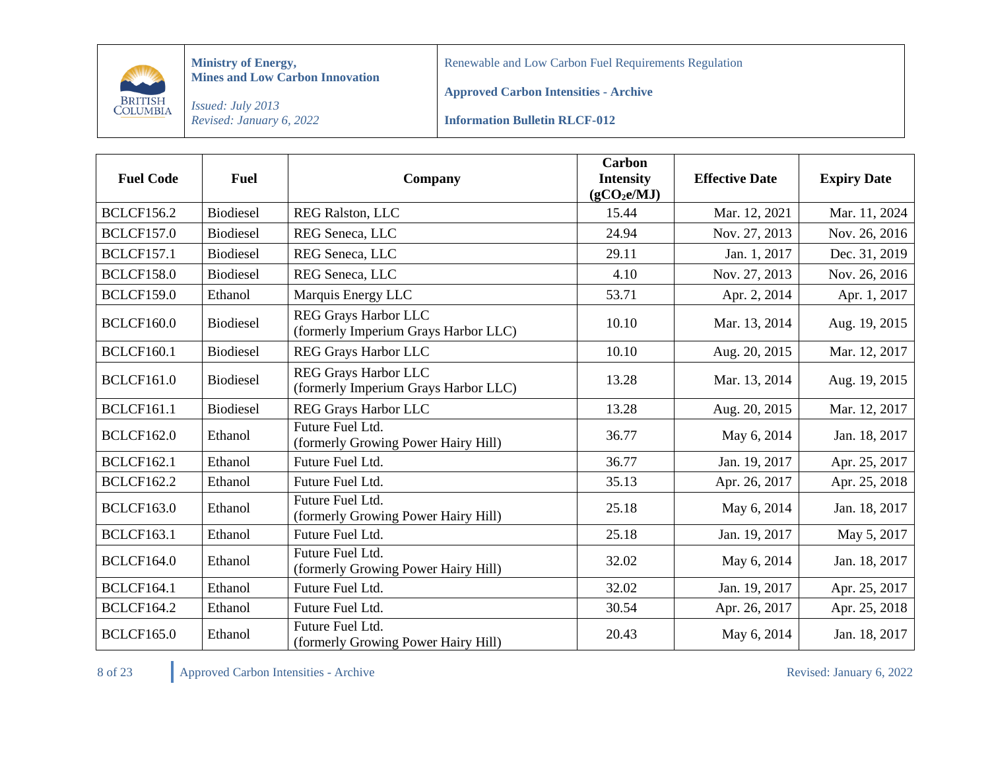

Renewable and Low Carbon Fuel Requirements Regulation

**Approved Carbon Intensities - Archive**

*Issued: July 2013 Revised: January 6, 2022*

**Information Bulletin RLCF-012**

| <b>Fuel Code</b>  | <b>Fuel</b>      | Company                                                             | <b>Carbon</b><br><b>Intensity</b><br>(gCO <sub>2</sub> e/MJ) | <b>Effective Date</b> | <b>Expiry Date</b> |
|-------------------|------------------|---------------------------------------------------------------------|--------------------------------------------------------------|-----------------------|--------------------|
| <b>BCLCF156.2</b> | <b>Biodiesel</b> | <b>REG Ralston, LLC</b>                                             | 15.44                                                        | Mar. 12, 2021         | Mar. 11, 2024      |
| <b>BCLCF157.0</b> | <b>Biodiesel</b> | REG Seneca, LLC                                                     | 24.94                                                        | Nov. 27, 2013         | Nov. 26, 2016      |
| <b>BCLCF157.1</b> | <b>Biodiesel</b> | REG Seneca, LLC                                                     | 29.11                                                        | Jan. 1, 2017          | Dec. 31, 2019      |
| <b>BCLCF158.0</b> | <b>Biodiesel</b> | REG Seneca, LLC                                                     | 4.10                                                         | Nov. 27, 2013         | Nov. 26, 2016      |
| <b>BCLCF159.0</b> | Ethanol          | Marquis Energy LLC                                                  | 53.71                                                        | Apr. 2, 2014          | Apr. 1, 2017       |
| <b>BCLCF160.0</b> | <b>Biodiesel</b> | <b>REG Grays Harbor LLC</b><br>(formerly Imperium Grays Harbor LLC) | 10.10                                                        | Mar. 13, 2014         | Aug. 19, 2015      |
| <b>BCLCF160.1</b> | <b>Biodiesel</b> | <b>REG Grays Harbor LLC</b>                                         | 10.10                                                        | Aug. 20, 2015         | Mar. 12, 2017      |
| <b>BCLCF161.0</b> | <b>Biodiesel</b> | <b>REG Grays Harbor LLC</b><br>(formerly Imperium Grays Harbor LLC) | 13.28                                                        | Mar. 13, 2014         | Aug. 19, 2015      |
| <b>BCLCF161.1</b> | <b>Biodiesel</b> | <b>REG Grays Harbor LLC</b>                                         | 13.28                                                        | Aug. 20, 2015         | Mar. 12, 2017      |
| <b>BCLCF162.0</b> | Ethanol          | Future Fuel Ltd.<br>(formerly Growing Power Hairy Hill)             | 36.77                                                        | May 6, 2014           | Jan. 18, 2017      |
| <b>BCLCF162.1</b> | Ethanol          | Future Fuel Ltd.                                                    | 36.77                                                        | Jan. 19, 2017         | Apr. 25, 2017      |
| <b>BCLCF162.2</b> | Ethanol          | Future Fuel Ltd.                                                    | 35.13                                                        | Apr. 26, 2017         | Apr. 25, 2018      |
| <b>BCLCF163.0</b> | Ethanol          | Future Fuel Ltd.<br>(formerly Growing Power Hairy Hill)             | 25.18                                                        | May 6, 2014           | Jan. 18, 2017      |
| <b>BCLCF163.1</b> | Ethanol          | Future Fuel Ltd.                                                    | 25.18                                                        | Jan. 19, 2017         | May 5, 2017        |
| <b>BCLCF164.0</b> | Ethanol          | Future Fuel Ltd.<br>(formerly Growing Power Hairy Hill)             | 32.02                                                        | May 6, 2014           | Jan. 18, 2017      |
| <b>BCLCF164.1</b> | Ethanol          | Future Fuel Ltd.                                                    | 32.02                                                        | Jan. 19, 2017         | Apr. 25, 2017      |
| <b>BCLCF164.2</b> | Ethanol          | Future Fuel Ltd.                                                    | 30.54                                                        | Apr. 26, 2017         | Apr. 25, 2018      |
| <b>BCLCF165.0</b> | Ethanol          | Future Fuel Ltd.<br>(formerly Growing Power Hairy Hill)             | 20.43                                                        | May 6, 2014           | Jan. 18, 2017      |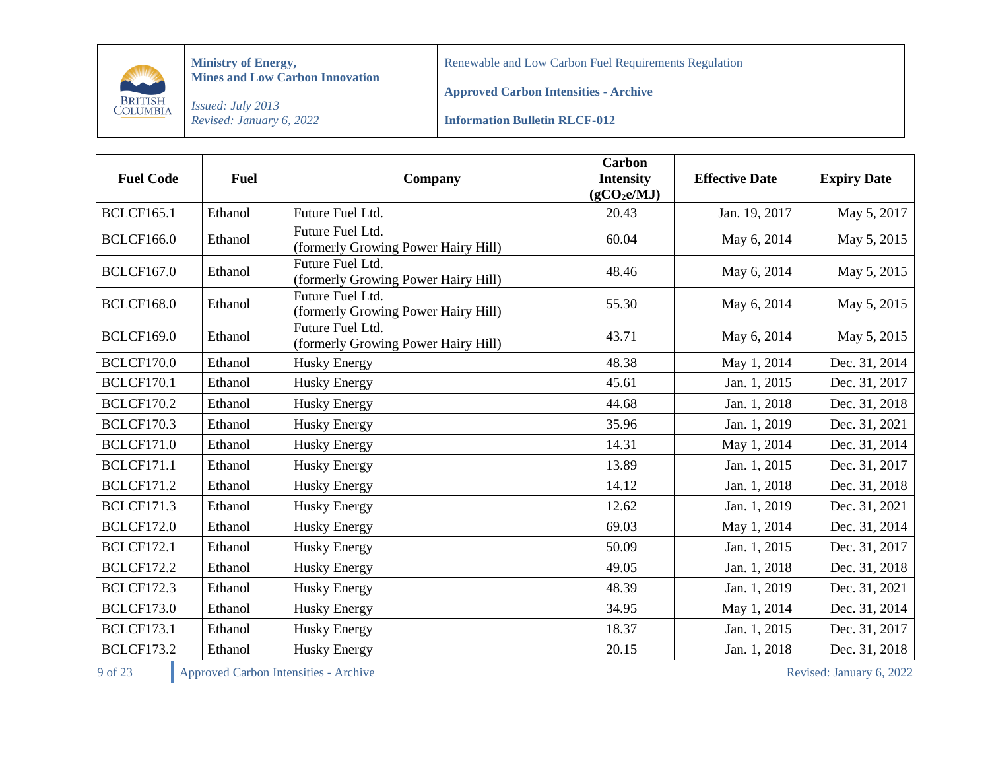

Renewable and Low Carbon Fuel Requirements Regulation

**Approved Carbon Intensities - Archive**

*Issued: July 2013 Revised: January 6, 2022*

**Information Bulletin RLCF-012**

| <b>Fuel Code</b>  | <b>Fuel</b> | Company                                                 | <b>Carbon</b><br><b>Intensity</b><br>(gCO <sub>2</sub> e/MJ) | <b>Effective Date</b> | <b>Expiry Date</b> |
|-------------------|-------------|---------------------------------------------------------|--------------------------------------------------------------|-----------------------|--------------------|
| <b>BCLCF165.1</b> | Ethanol     | Future Fuel Ltd.                                        | 20.43                                                        | Jan. 19, 2017         | May 5, 2017        |
| <b>BCLCF166.0</b> | Ethanol     | Future Fuel Ltd.<br>(formerly Growing Power Hairy Hill) | 60.04                                                        | May 6, 2014           | May 5, 2015        |
| <b>BCLCF167.0</b> | Ethanol     | Future Fuel Ltd.<br>(formerly Growing Power Hairy Hill) | 48.46                                                        | May 6, 2014           | May 5, 2015        |
| <b>BCLCF168.0</b> | Ethanol     | Future Fuel Ltd.<br>(formerly Growing Power Hairy Hill) | 55.30                                                        | May 6, 2014           | May 5, 2015        |
| <b>BCLCF169.0</b> | Ethanol     | Future Fuel Ltd.<br>(formerly Growing Power Hairy Hill) | 43.71                                                        | May 6, 2014           | May 5, 2015        |
| <b>BCLCF170.0</b> | Ethanol     | <b>Husky Energy</b>                                     | 48.38                                                        | May 1, 2014           | Dec. 31, 2014      |
| <b>BCLCF170.1</b> | Ethanol     | <b>Husky Energy</b>                                     | 45.61                                                        | Jan. 1, 2015          | Dec. 31, 2017      |
| <b>BCLCF170.2</b> | Ethanol     | <b>Husky Energy</b>                                     | 44.68                                                        | Jan. 1, 2018          | Dec. 31, 2018      |
| <b>BCLCF170.3</b> | Ethanol     | <b>Husky Energy</b>                                     | 35.96                                                        | Jan. 1, 2019          | Dec. 31, 2021      |
| <b>BCLCF171.0</b> | Ethanol     | <b>Husky Energy</b>                                     | 14.31                                                        | May 1, 2014           | Dec. 31, 2014      |
| <b>BCLCF171.1</b> | Ethanol     | <b>Husky Energy</b>                                     | 13.89                                                        | Jan. 1, 2015          | Dec. 31, 2017      |
| <b>BCLCF171.2</b> | Ethanol     | <b>Husky Energy</b>                                     | 14.12                                                        | Jan. 1, 2018          | Dec. 31, 2018      |
| <b>BCLCF171.3</b> | Ethanol     | <b>Husky Energy</b>                                     | 12.62                                                        | Jan. 1, 2019          | Dec. 31, 2021      |
| <b>BCLCF172.0</b> | Ethanol     | <b>Husky Energy</b>                                     | 69.03                                                        | May 1, 2014           | Dec. 31, 2014      |
| <b>BCLCF172.1</b> | Ethanol     | <b>Husky Energy</b>                                     | 50.09                                                        | Jan. 1, 2015          | Dec. 31, 2017      |
| <b>BCLCF172.2</b> | Ethanol     | <b>Husky Energy</b>                                     | 49.05                                                        | Jan. 1, 2018          | Dec. 31, 2018      |
| <b>BCLCF172.3</b> | Ethanol     | <b>Husky Energy</b>                                     | 48.39                                                        | Jan. 1, 2019          | Dec. 31, 2021      |
| <b>BCLCF173.0</b> | Ethanol     | <b>Husky Energy</b>                                     | 34.95                                                        | May 1, 2014           | Dec. 31, 2014      |
| <b>BCLCF173.1</b> | Ethanol     | <b>Husky Energy</b>                                     | 18.37                                                        | Jan. 1, 2015          | Dec. 31, 2017      |
| <b>BCLCF173.2</b> | Ethanol     | <b>Husky Energy</b>                                     | 20.15                                                        | Jan. 1, 2018          | Dec. 31, 2018      |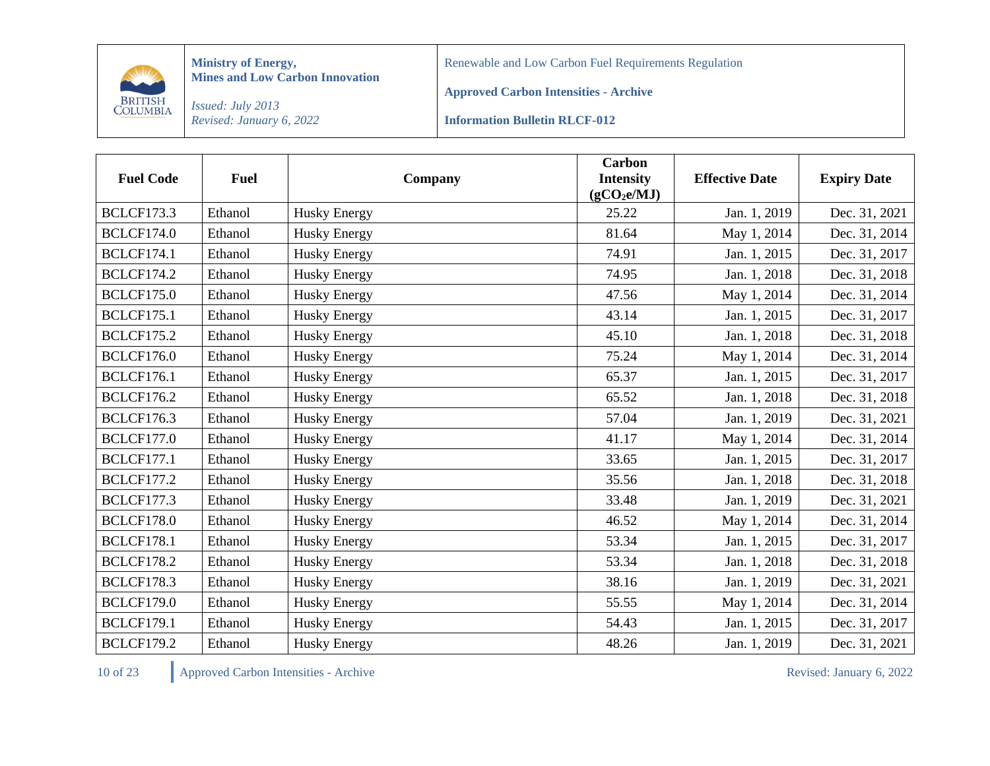

Renewable and Low Carbon Fuel Requirements Regulation

**Approved Carbon Intensities - Archive**

*Issued: July 2013 Revised: January 6, 2022*

**Information Bulletin RLCF-012**

| <b>Fuel Code</b>  | <b>Fuel</b> | Company             | <b>Carbon</b><br><b>Intensity</b><br>(gCO <sub>2</sub> e/MJ) | <b>Effective Date</b> | <b>Expiry Date</b> |
|-------------------|-------------|---------------------|--------------------------------------------------------------|-----------------------|--------------------|
| <b>BCLCF173.3</b> | Ethanol     | <b>Husky Energy</b> | 25.22                                                        | Jan. 1, 2019          | Dec. 31, 2021      |
| <b>BCLCF174.0</b> | Ethanol     | <b>Husky Energy</b> | 81.64                                                        | May 1, 2014           | Dec. 31, 2014      |
| <b>BCLCF174.1</b> | Ethanol     | <b>Husky Energy</b> | 74.91                                                        | Jan. 1, 2015          | Dec. 31, 2017      |
| <b>BCLCF174.2</b> | Ethanol     | <b>Husky Energy</b> | 74.95                                                        | Jan. 1, 2018          | Dec. 31, 2018      |
| <b>BCLCF175.0</b> | Ethanol     | <b>Husky Energy</b> | 47.56                                                        | May 1, 2014           | Dec. 31, 2014      |
| <b>BCLCF175.1</b> | Ethanol     | <b>Husky Energy</b> | 43.14                                                        | Jan. 1, 2015          | Dec. 31, 2017      |
| <b>BCLCF175.2</b> | Ethanol     | <b>Husky Energy</b> | 45.10                                                        | Jan. 1, 2018          | Dec. 31, 2018      |
| <b>BCLCF176.0</b> | Ethanol     | <b>Husky Energy</b> | 75.24                                                        | May 1, 2014           | Dec. 31, 2014      |
| <b>BCLCF176.1</b> | Ethanol     | <b>Husky Energy</b> | 65.37                                                        | Jan. 1, 2015          | Dec. 31, 2017      |
| <b>BCLCF176.2</b> | Ethanol     | <b>Husky Energy</b> | 65.52                                                        | Jan. 1, 2018          | Dec. 31, 2018      |
| <b>BCLCF176.3</b> | Ethanol     | <b>Husky Energy</b> | 57.04                                                        | Jan. 1, 2019          | Dec. 31, 2021      |
| <b>BCLCF177.0</b> | Ethanol     | <b>Husky Energy</b> | 41.17                                                        | May 1, 2014           | Dec. 31, 2014      |
| <b>BCLCF177.1</b> | Ethanol     | <b>Husky Energy</b> | 33.65                                                        | Jan. 1, 2015          | Dec. 31, 2017      |
| <b>BCLCF177.2</b> | Ethanol     | <b>Husky Energy</b> | 35.56                                                        | Jan. 1, 2018          | Dec. 31, 2018      |
| <b>BCLCF177.3</b> | Ethanol     | <b>Husky Energy</b> | 33.48                                                        | Jan. 1, 2019          | Dec. 31, 2021      |
| <b>BCLCF178.0</b> | Ethanol     | Husky Energy        | 46.52                                                        | May 1, 2014           | Dec. 31, 2014      |
| <b>BCLCF178.1</b> | Ethanol     | <b>Husky Energy</b> | 53.34                                                        | Jan. 1, 2015          | Dec. 31, 2017      |
| <b>BCLCF178.2</b> | Ethanol     | Husky Energy        | 53.34                                                        | Jan. 1, 2018          | Dec. 31, 2018      |
| <b>BCLCF178.3</b> | Ethanol     | <b>Husky Energy</b> | 38.16                                                        | Jan. 1, 2019          | Dec. 31, 2021      |
| <b>BCLCF179.0</b> | Ethanol     | <b>Husky Energy</b> | 55.55                                                        | May 1, 2014           | Dec. 31, 2014      |
| <b>BCLCF179.1</b> | Ethanol     | <b>Husky Energy</b> | 54.43                                                        | Jan. 1, 2015          | Dec. 31, 2017      |
| <b>BCLCF179.2</b> | Ethanol     | <b>Husky Energy</b> | 48.26                                                        | Jan. 1, 2019          | Dec. 31, 2021      |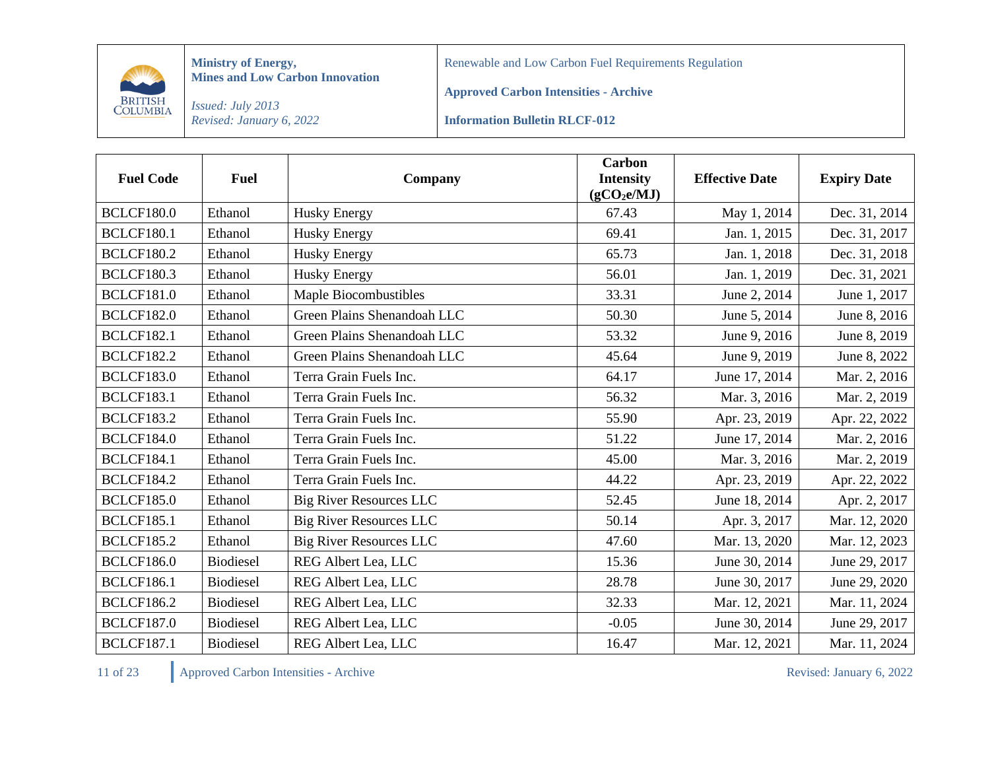

Renewable and Low Carbon Fuel Requirements Regulation

**Approved Carbon Intensities - Archive**

*Issued: July 2013 Revised: January 6, 2022*

**Information Bulletin RLCF-012**

| <b>Fuel Code</b>  | <b>Fuel</b>      | Company                        | <b>Carbon</b><br><b>Intensity</b><br>(gCO <sub>2</sub> e/MJ) | <b>Effective Date</b> | <b>Expiry Date</b> |
|-------------------|------------------|--------------------------------|--------------------------------------------------------------|-----------------------|--------------------|
| <b>BCLCF180.0</b> | Ethanol          | Husky Energy                   | 67.43                                                        | May 1, 2014           | Dec. 31, 2014      |
| <b>BCLCF180.1</b> | Ethanol          | <b>Husky Energy</b>            | 69.41                                                        | Jan. 1, 2015          | Dec. 31, 2017      |
| <b>BCLCF180.2</b> | Ethanol          | <b>Husky Energy</b>            | 65.73                                                        | Jan. 1, 2018          | Dec. 31, 2018      |
| <b>BCLCF180.3</b> | Ethanol          | <b>Husky Energy</b>            | 56.01                                                        | Jan. 1, 2019          | Dec. 31, 2021      |
| <b>BCLCF181.0</b> | Ethanol          | Maple Biocombustibles          | 33.31                                                        | June 2, 2014          | June 1, 2017       |
| <b>BCLCF182.0</b> | Ethanol          | Green Plains Shenandoah LLC    | 50.30                                                        | June 5, 2014          | June 8, 2016       |
| <b>BCLCF182.1</b> | Ethanol          | Green Plains Shenandoah LLC    | 53.32                                                        | June 9, 2016          | June 8, 2019       |
| <b>BCLCF182.2</b> | Ethanol          | Green Plains Shenandoah LLC    | 45.64                                                        | June 9, 2019          | June 8, 2022       |
| <b>BCLCF183.0</b> | Ethanol          | Terra Grain Fuels Inc.         | 64.17                                                        | June 17, 2014         | Mar. 2, 2016       |
| <b>BCLCF183.1</b> | Ethanol          | Terra Grain Fuels Inc.         | 56.32                                                        | Mar. 3, 2016          | Mar. 2, 2019       |
| <b>BCLCF183.2</b> | Ethanol          | Terra Grain Fuels Inc.         | 55.90                                                        | Apr. 23, 2019         | Apr. 22, 2022      |
| <b>BCLCF184.0</b> | Ethanol          | Terra Grain Fuels Inc.         | 51.22                                                        | June 17, 2014         | Mar. 2, 2016       |
| <b>BCLCF184.1</b> | Ethanol          | Terra Grain Fuels Inc.         | 45.00                                                        | Mar. 3, 2016          | Mar. 2, 2019       |
| <b>BCLCF184.2</b> | Ethanol          | Terra Grain Fuels Inc.         | 44.22                                                        | Apr. 23, 2019         | Apr. 22, 2022      |
| <b>BCLCF185.0</b> | Ethanol          | <b>Big River Resources LLC</b> | 52.45                                                        | June 18, 2014         | Apr. 2, 2017       |
| <b>BCLCF185.1</b> | Ethanol          | <b>Big River Resources LLC</b> | 50.14                                                        | Apr. 3, 2017          | Mar. 12, 2020      |
| <b>BCLCF185.2</b> | Ethanol          | <b>Big River Resources LLC</b> | 47.60                                                        | Mar. 13, 2020         | Mar. 12, 2023      |
| <b>BCLCF186.0</b> | <b>Biodiesel</b> | REG Albert Lea, LLC            | 15.36                                                        | June 30, 2014         | June 29, 2017      |
| <b>BCLCF186.1</b> | <b>Biodiesel</b> | REG Albert Lea, LLC            | 28.78                                                        | June 30, 2017         | June 29, 2020      |
| <b>BCLCF186.2</b> | <b>Biodiesel</b> | REG Albert Lea, LLC            | 32.33                                                        | Mar. 12, 2021         | Mar. 11, 2024      |
| <b>BCLCF187.0</b> | <b>Biodiesel</b> | REG Albert Lea, LLC            | $-0.05$                                                      | June 30, 2014         | June 29, 2017      |
| <b>BCLCF187.1</b> | <b>Biodiesel</b> | REG Albert Lea, LLC            | 16.47                                                        | Mar. 12, 2021         | Mar. 11, 2024      |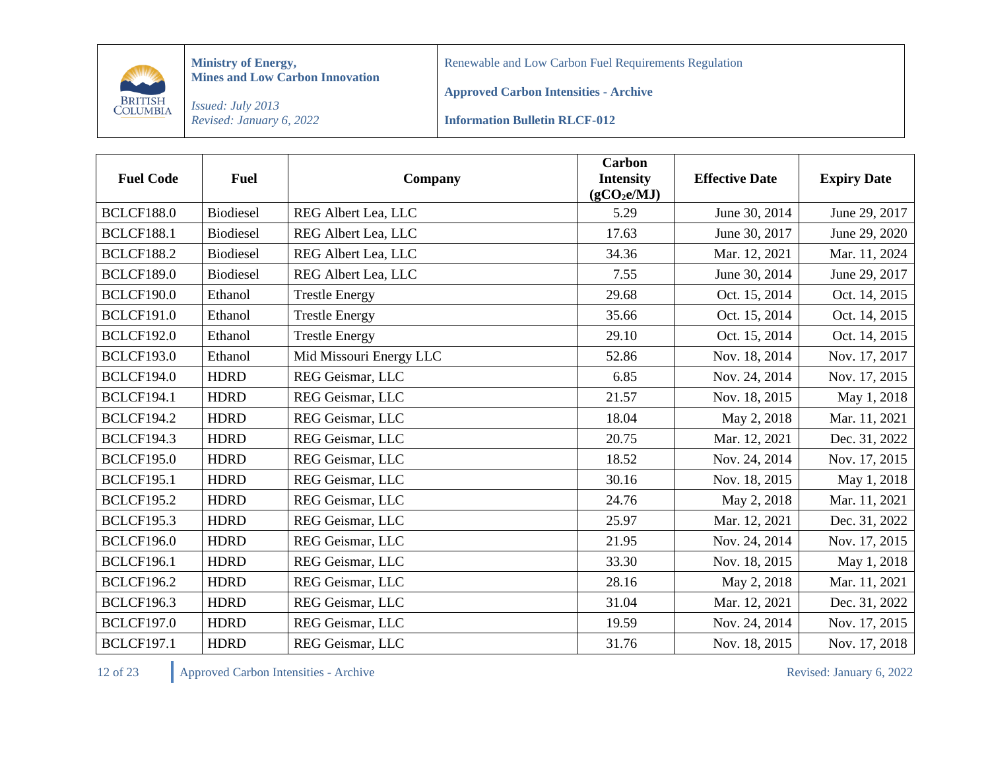

Renewable and Low Carbon Fuel Requirements Regulation

**Approved Carbon Intensities - Archive**

*Issued: July 2013 Revised: January 6, 2022*

**Information Bulletin RLCF-012**

| <b>Fuel Code</b>  | <b>Fuel</b>      | Company                 | <b>Carbon</b><br><b>Intensity</b><br>(gCO <sub>2</sub> e/MJ) | <b>Effective Date</b> | <b>Expiry Date</b> |
|-------------------|------------------|-------------------------|--------------------------------------------------------------|-----------------------|--------------------|
| <b>BCLCF188.0</b> | <b>Biodiesel</b> | REG Albert Lea, LLC     | 5.29                                                         | June 30, 2014         | June 29, 2017      |
| <b>BCLCF188.1</b> | <b>Biodiesel</b> | REG Albert Lea, LLC     | 17.63                                                        | June 30, 2017         | June 29, 2020      |
| <b>BCLCF188.2</b> | <b>Biodiesel</b> | REG Albert Lea, LLC     | 34.36                                                        | Mar. 12, 2021         | Mar. 11, 2024      |
| <b>BCLCF189.0</b> | Biodiesel        | REG Albert Lea, LLC     | 7.55                                                         | June 30, 2014         | June 29, 2017      |
| <b>BCLCF190.0</b> | Ethanol          | <b>Trestle Energy</b>   | 29.68                                                        | Oct. 15, 2014         | Oct. 14, 2015      |
| <b>BCLCF191.0</b> | Ethanol          | <b>Trestle Energy</b>   | 35.66                                                        | Oct. 15, 2014         | Oct. 14, 2015      |
| <b>BCLCF192.0</b> | Ethanol          | <b>Trestle Energy</b>   | 29.10                                                        | Oct. 15, 2014         | Oct. 14, 2015      |
| <b>BCLCF193.0</b> | Ethanol          | Mid Missouri Energy LLC | 52.86                                                        | Nov. 18, 2014         | Nov. 17, 2017      |
| <b>BCLCF194.0</b> | <b>HDRD</b>      | REG Geismar, LLC        | 6.85                                                         | Nov. 24, 2014         | Nov. 17, 2015      |
| <b>BCLCF194.1</b> | <b>HDRD</b>      | REG Geismar, LLC        | 21.57                                                        | Nov. 18, 2015         | May 1, 2018        |
| <b>BCLCF194.2</b> | <b>HDRD</b>      | REG Geismar, LLC        | 18.04                                                        | May 2, 2018           | Mar. 11, 2021      |
| <b>BCLCF194.3</b> | <b>HDRD</b>      | REG Geismar, LLC        | 20.75                                                        | Mar. 12, 2021         | Dec. 31, 2022      |
| <b>BCLCF195.0</b> | <b>HDRD</b>      | REG Geismar, LLC        | 18.52                                                        | Nov. 24, 2014         | Nov. 17, 2015      |
| <b>BCLCF195.1</b> | <b>HDRD</b>      | REG Geismar, LLC        | 30.16                                                        | Nov. 18, 2015         | May 1, 2018        |
| <b>BCLCF195.2</b> | <b>HDRD</b>      | REG Geismar, LLC        | 24.76                                                        | May 2, 2018           | Mar. 11, 2021      |
| <b>BCLCF195.3</b> | <b>HDRD</b>      | REG Geismar, LLC        | 25.97                                                        | Mar. 12, 2021         | Dec. 31, 2022      |
| <b>BCLCF196.0</b> | <b>HDRD</b>      | REG Geismar, LLC        | 21.95                                                        | Nov. 24, 2014         | Nov. 17, 2015      |
| <b>BCLCF196.1</b> | <b>HDRD</b>      | REG Geismar, LLC        | 33.30                                                        | Nov. 18, 2015         | May 1, 2018        |
| <b>BCLCF196.2</b> | <b>HDRD</b>      | REG Geismar, LLC        | 28.16                                                        | May 2, 2018           | Mar. 11, 2021      |
| <b>BCLCF196.3</b> | <b>HDRD</b>      | REG Geismar, LLC        | 31.04                                                        | Mar. 12, 2021         | Dec. 31, 2022      |
| <b>BCLCF197.0</b> | <b>HDRD</b>      | REG Geismar, LLC        | 19.59                                                        | Nov. 24, 2014         | Nov. 17, 2015      |
| <b>BCLCF197.1</b> | <b>HDRD</b>      | REG Geismar, LLC        | 31.76                                                        | Nov. 18, 2015         | Nov. 17, 2018      |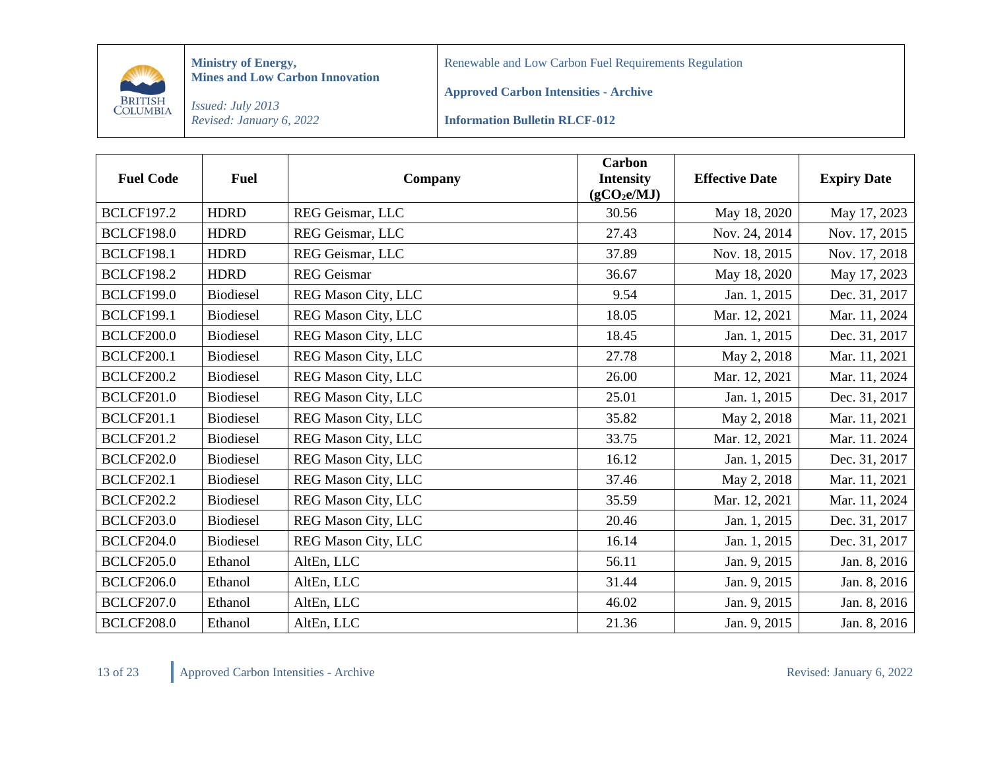

Renewable and Low Carbon Fuel Requirements Regulation

**Approved Carbon Intensities - Archive**

*Issued: July 2013 Revised: January 6, 2022*

**Information Bulletin RLCF-012**

| <b>Fuel Code</b>  | <b>Fuel</b>      | Company                    | <b>Carbon</b><br><b>Intensity</b><br>(gCO <sub>2</sub> e/MJ) | <b>Effective Date</b> | <b>Expiry Date</b> |
|-------------------|------------------|----------------------------|--------------------------------------------------------------|-----------------------|--------------------|
| <b>BCLCF197.2</b> | <b>HDRD</b>      | REG Geismar, LLC           | 30.56                                                        | May 18, 2020          | May 17, 2023       |
| <b>BCLCF198.0</b> | <b>HDRD</b>      | REG Geismar, LLC           | 27.43                                                        | Nov. 24, 2014         | Nov. 17, 2015      |
| <b>BCLCF198.1</b> | <b>HDRD</b>      | REG Geismar, LLC           | 37.89                                                        | Nov. 18, 2015         | Nov. 17, 2018      |
| <b>BCLCF198.2</b> | <b>HDRD</b>      | <b>REG</b> Geismar         | 36.67                                                        | May 18, 2020          | May 17, 2023       |
| <b>BCLCF199.0</b> | Biodiesel        | REG Mason City, LLC        | 9.54                                                         | Jan. 1, 2015          | Dec. 31, 2017      |
| <b>BCLCF199.1</b> | <b>Biodiesel</b> | REG Mason City, LLC        | 18.05                                                        | Mar. 12, 2021         | Mar. 11, 2024      |
| <b>BCLCF200.0</b> | <b>Biodiesel</b> | <b>REG Mason City, LLC</b> | 18.45                                                        | Jan. 1, 2015          | Dec. 31, 2017      |
| <b>BCLCF200.1</b> | <b>Biodiesel</b> | REG Mason City, LLC        | 27.78                                                        | May 2, 2018           | Mar. 11, 2021      |
| <b>BCLCF200.2</b> | <b>Biodiesel</b> | REG Mason City, LLC        | 26.00                                                        | Mar. 12, 2021         | Mar. 11, 2024      |
| <b>BCLCF201.0</b> | <b>Biodiesel</b> | REG Mason City, LLC        | 25.01                                                        | Jan. 1, 2015          | Dec. 31, 2017      |
| <b>BCLCF201.1</b> | <b>Biodiesel</b> | REG Mason City, LLC        | 35.82                                                        | May 2, 2018           | Mar. 11, 2021      |
| <b>BCLCF201.2</b> | <b>Biodiesel</b> | REG Mason City, LLC        | 33.75                                                        | Mar. 12, 2021         | Mar. 11. 2024      |
| <b>BCLCF202.0</b> | <b>Biodiesel</b> | REG Mason City, LLC        | 16.12                                                        | Jan. 1, 2015          | Dec. 31, 2017      |
| <b>BCLCF202.1</b> | <b>Biodiesel</b> | REG Mason City, LLC        | 37.46                                                        | May 2, 2018           | Mar. 11, 2021      |
| <b>BCLCF202.2</b> | Biodiesel        | REG Mason City, LLC        | 35.59                                                        | Mar. 12, 2021         | Mar. 11, 2024      |
| <b>BCLCF203.0</b> | <b>Biodiesel</b> | REG Mason City, LLC        | 20.46                                                        | Jan. 1, 2015          | Dec. 31, 2017      |
| <b>BCLCF204.0</b> | <b>Biodiesel</b> | REG Mason City, LLC        | 16.14                                                        | Jan. 1, 2015          | Dec. 31, 2017      |
| <b>BCLCF205.0</b> | Ethanol          | AltEn, LLC                 | 56.11                                                        | Jan. 9, 2015          | Jan. 8, 2016       |
| <b>BCLCF206.0</b> | Ethanol          | AltEn, LLC                 | 31.44                                                        | Jan. 9, 2015          | Jan. 8, 2016       |
| <b>BCLCF207.0</b> | Ethanol          | AltEn, LLC                 | 46.02                                                        | Jan. 9, 2015          | Jan. 8, 2016       |
| <b>BCLCF208.0</b> | Ethanol          | AltEn, LLC                 | 21.36                                                        | Jan. 9, 2015          | Jan. 8, 2016       |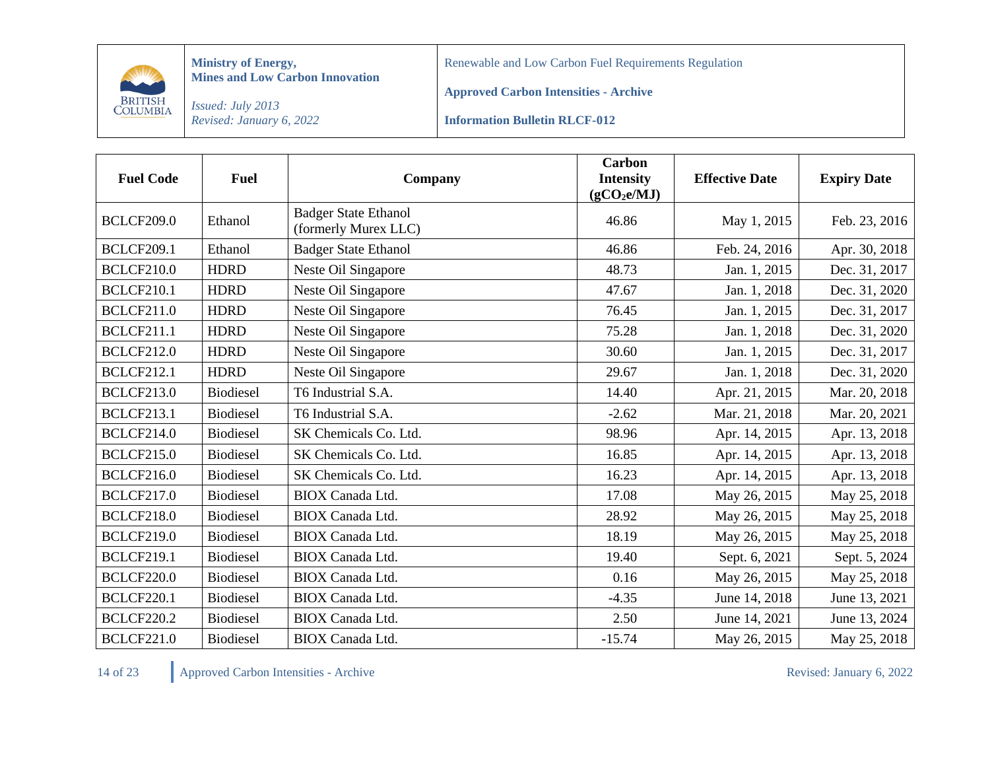

Renewable and Low Carbon Fuel Requirements Regulation

**Approved Carbon Intensities - Archive**

*Issued: July 2013 Revised: January 6, 2022*

**Information Bulletin RLCF-012**

| <b>Fuel Code</b>  | <b>Fuel</b>      | Company                                             | <b>Carbon</b><br><b>Intensity</b><br>(gCO <sub>2</sub> e/MJ) | <b>Effective Date</b> | <b>Expiry Date</b> |
|-------------------|------------------|-----------------------------------------------------|--------------------------------------------------------------|-----------------------|--------------------|
| <b>BCLCF209.0</b> | Ethanol          | <b>Badger State Ethanol</b><br>(formerly Murex LLC) | 46.86                                                        | May 1, 2015           | Feb. 23, 2016      |
| <b>BCLCF209.1</b> | Ethanol          | <b>Badger State Ethanol</b>                         | 46.86                                                        | Feb. 24, 2016         | Apr. 30, 2018      |
| <b>BCLCF210.0</b> | <b>HDRD</b>      | Neste Oil Singapore                                 | 48.73                                                        | Jan. 1, 2015          | Dec. 31, 2017      |
| <b>BCLCF210.1</b> | <b>HDRD</b>      | Neste Oil Singapore                                 | 47.67                                                        | Jan. 1, 2018          | Dec. 31, 2020      |
| <b>BCLCF211.0</b> | <b>HDRD</b>      | Neste Oil Singapore                                 | 76.45                                                        | Jan. 1, 2015          | Dec. 31, 2017      |
| <b>BCLCF211.1</b> | <b>HDRD</b>      | Neste Oil Singapore                                 | 75.28                                                        | Jan. 1, 2018          | Dec. 31, 2020      |
| <b>BCLCF212.0</b> | <b>HDRD</b>      | Neste Oil Singapore                                 | 30.60                                                        | Jan. 1, 2015          | Dec. 31, 2017      |
| <b>BCLCF212.1</b> | <b>HDRD</b>      | Neste Oil Singapore                                 | 29.67                                                        | Jan. 1, 2018          | Dec. 31, 2020      |
| <b>BCLCF213.0</b> | <b>Biodiesel</b> | T6 Industrial S.A.                                  | 14.40                                                        | Apr. 21, 2015         | Mar. 20, 2018      |
| <b>BCLCF213.1</b> | <b>Biodiesel</b> | T6 Industrial S.A.                                  | $-2.62$                                                      | Mar. 21, 2018         | Mar. 20, 2021      |
| <b>BCLCF214.0</b> | <b>Biodiesel</b> | SK Chemicals Co. Ltd.                               | 98.96                                                        | Apr. 14, 2015         | Apr. 13, 2018      |
| <b>BCLCF215.0</b> | <b>Biodiesel</b> | SK Chemicals Co. Ltd.                               | 16.85                                                        | Apr. 14, 2015         | Apr. 13, 2018      |
| <b>BCLCF216.0</b> | <b>Biodiesel</b> | SK Chemicals Co. Ltd.                               | 16.23                                                        | Apr. 14, 2015         | Apr. 13, 2018      |
| <b>BCLCF217.0</b> | <b>Biodiesel</b> | <b>BIOX</b> Canada Ltd.                             | 17.08                                                        | May 26, 2015          | May 25, 2018       |
| <b>BCLCF218.0</b> | <b>Biodiesel</b> | <b>BIOX</b> Canada Ltd.                             | 28.92                                                        | May 26, 2015          | May 25, 2018       |
| <b>BCLCF219.0</b> | <b>Biodiesel</b> | <b>BIOX</b> Canada Ltd.                             | 18.19                                                        | May 26, 2015          | May 25, 2018       |
| <b>BCLCF219.1</b> | <b>Biodiesel</b> | <b>BIOX</b> Canada Ltd.                             | 19.40                                                        | Sept. 6, 2021         | Sept. 5, 2024      |
| <b>BCLCF220.0</b> | <b>Biodiesel</b> | <b>BIOX</b> Canada Ltd.                             | 0.16                                                         | May 26, 2015          | May 25, 2018       |
| <b>BCLCF220.1</b> | <b>Biodiesel</b> | <b>BIOX</b> Canada Ltd.                             | $-4.35$                                                      | June 14, 2018         | June 13, 2021      |
| <b>BCLCF220.2</b> | <b>Biodiesel</b> | <b>BIOX</b> Canada Ltd.                             | 2.50                                                         | June 14, 2021         | June 13, 2024      |
| <b>BCLCF221.0</b> | <b>Biodiesel</b> | <b>BIOX</b> Canada Ltd.                             | $-15.74$                                                     | May 26, 2015          | May 25, 2018       |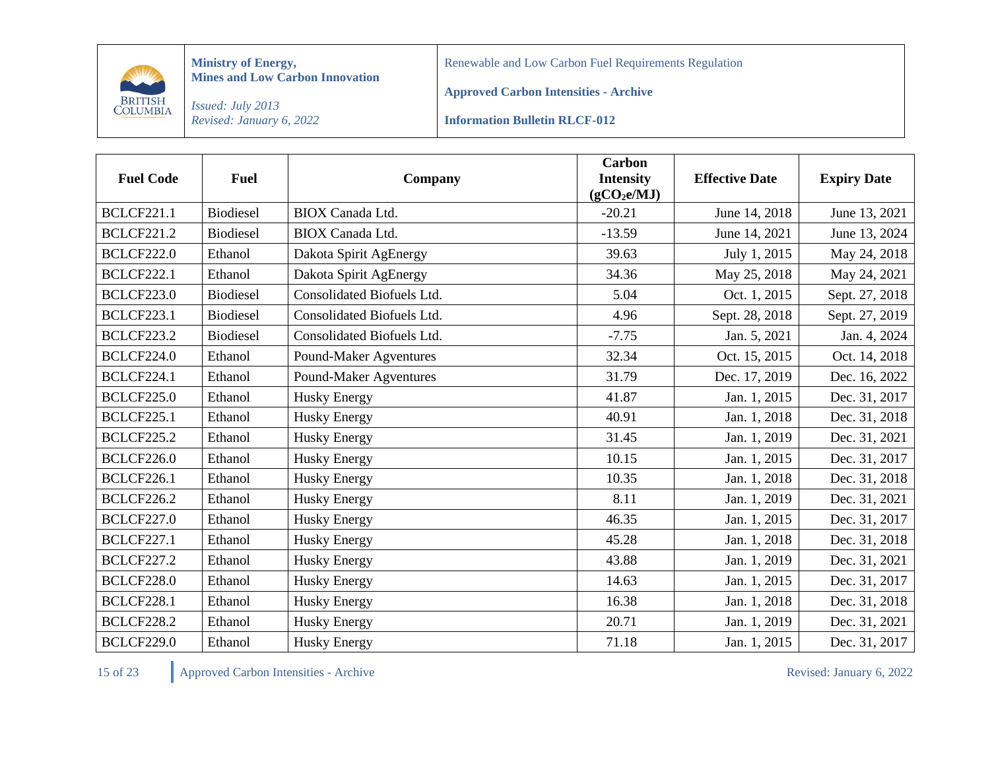

Renewable and Low Carbon Fuel Requirements Regulation

**Approved Carbon Intensities - Archive**

*Issued: July 2013 Revised: January 6, 2022*

**Information Bulletin RLCF-012**

| <b>Fuel Code</b>  | <b>Fuel</b>      | Company                       | <b>Carbon</b><br><b>Intensity</b><br>(gCO <sub>2</sub> e/MJ) | <b>Effective Date</b> | <b>Expiry Date</b> |
|-------------------|------------------|-------------------------------|--------------------------------------------------------------|-----------------------|--------------------|
| <b>BCLCF221.1</b> | <b>Biodiesel</b> | <b>BIOX</b> Canada Ltd.       | $-20.21$                                                     | June 14, 2018         | June 13, 2021      |
| <b>BCLCF221.2</b> | <b>Biodiesel</b> | <b>BIOX</b> Canada Ltd.       | $-13.59$                                                     | June 14, 2021         | June 13, 2024      |
| <b>BCLCF222.0</b> | Ethanol          | Dakota Spirit AgEnergy        | 39.63                                                        | July 1, 2015          | May 24, 2018       |
| <b>BCLCF222.1</b> | Ethanol          | Dakota Spirit AgEnergy        | 34.36                                                        | May 25, 2018          | May 24, 2021       |
| <b>BCLCF223.0</b> | <b>Biodiesel</b> | Consolidated Biofuels Ltd.    | 5.04                                                         | Oct. 1, 2015          | Sept. 27, 2018     |
| <b>BCLCF223.1</b> | <b>Biodiesel</b> | Consolidated Biofuels Ltd.    | 4.96                                                         | Sept. 28, 2018        | Sept. 27, 2019     |
| <b>BCLCF223.2</b> | <b>Biodiesel</b> | Consolidated Biofuels Ltd.    | $-7.75$                                                      | Jan. 5, 2021          | Jan. 4, 2024       |
| <b>BCLCF224.0</b> | Ethanol          | Pound-Maker Agventures        | 32.34                                                        | Oct. 15, 2015         | Oct. 14, 2018      |
| <b>BCLCF224.1</b> | Ethanol          | <b>Pound-Maker Agventures</b> | 31.79                                                        | Dec. 17, 2019         | Dec. 16, 2022      |
| <b>BCLCF225.0</b> | Ethanol          | <b>Husky Energy</b>           | 41.87                                                        | Jan. 1, 2015          | Dec. 31, 2017      |
| <b>BCLCF225.1</b> | Ethanol          | <b>Husky Energy</b>           | 40.91                                                        | Jan. 1, 2018          | Dec. 31, 2018      |
| <b>BCLCF225.2</b> | Ethanol          | <b>Husky Energy</b>           | 31.45                                                        | Jan. 1, 2019          | Dec. 31, 2021      |
| <b>BCLCF226.0</b> | Ethanol          | <b>Husky Energy</b>           | 10.15                                                        | Jan. 1, 2015          | Dec. 31, 2017      |
| <b>BCLCF226.1</b> | Ethanol          | Husky Energy                  | 10.35                                                        | Jan. 1, 2018          | Dec. 31, 2018      |
| <b>BCLCF226.2</b> | Ethanol          | <b>Husky Energy</b>           | 8.11                                                         | Jan. 1, 2019          | Dec. 31, 2021      |
| <b>BCLCF227.0</b> | Ethanol          | <b>Husky Energy</b>           | 46.35                                                        | Jan. 1, 2015          | Dec. 31, 2017      |
| <b>BCLCF227.1</b> | Ethanol          | Husky Energy                  | 45.28                                                        | Jan. 1, 2018          | Dec. 31, 2018      |
| <b>BCLCF227.2</b> | Ethanol          | <b>Husky Energy</b>           | 43.88                                                        | Jan. 1, 2019          | Dec. 31, 2021      |
| <b>BCLCF228.0</b> | Ethanol          | Husky Energy                  | 14.63                                                        | Jan. 1, 2015          | Dec. 31, 2017      |
| <b>BCLCF228.1</b> | Ethanol          | Husky Energy                  | 16.38                                                        | Jan. 1, 2018          | Dec. 31, 2018      |
| <b>BCLCF228.2</b> | Ethanol          | <b>Husky Energy</b>           | 20.71                                                        | Jan. 1, 2019          | Dec. 31, 2021      |
| <b>BCLCF229.0</b> | Ethanol          | <b>Husky Energy</b>           | 71.18                                                        | Jan. 1, 2015          | Dec. 31, 2017      |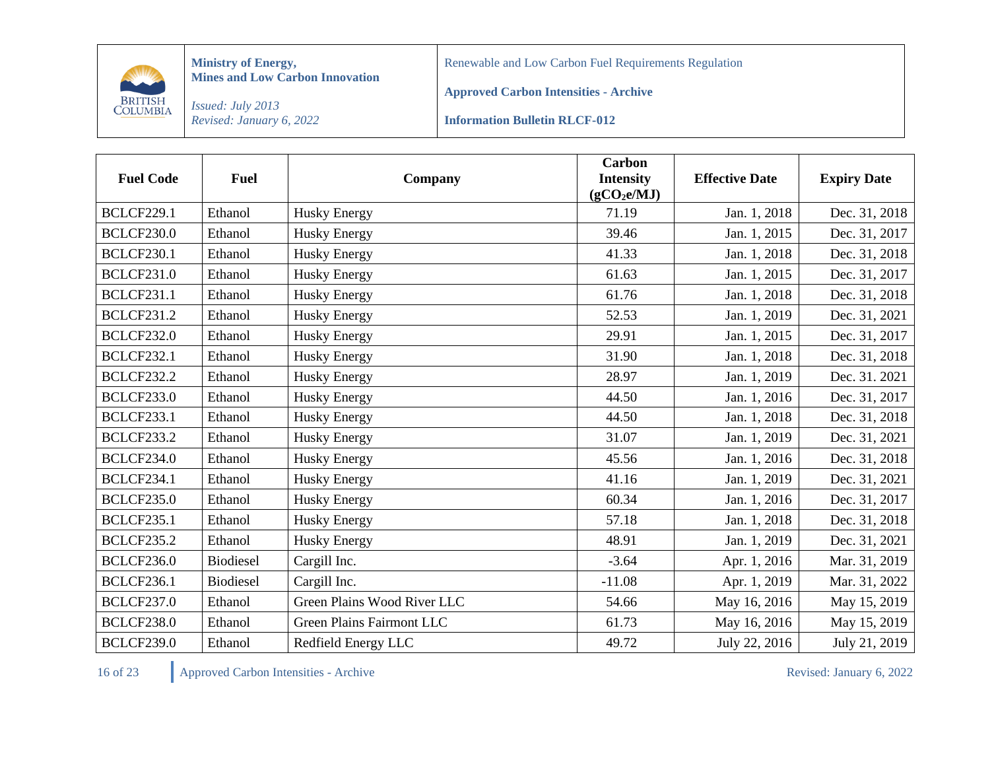

Renewable and Low Carbon Fuel Requirements Regulation

**Approved Carbon Intensities - Archive**

*Issued: July 2013 Revised: January 6, 2022*

**Information Bulletin RLCF-012**

| <b>Fuel Code</b>  | <b>Fuel</b>      | Company                     | <b>Carbon</b><br><b>Intensity</b><br>(gCO <sub>2</sub> e/MJ) | <b>Effective Date</b> | <b>Expiry Date</b> |
|-------------------|------------------|-----------------------------|--------------------------------------------------------------|-----------------------|--------------------|
| <b>BCLCF229.1</b> | Ethanol          | <b>Husky Energy</b>         | 71.19                                                        | Jan. 1, 2018          | Dec. 31, 2018      |
| <b>BCLCF230.0</b> | Ethanol          | <b>Husky Energy</b>         | 39.46                                                        | Jan. 1, 2015          | Dec. 31, 2017      |
| <b>BCLCF230.1</b> | Ethanol          | <b>Husky Energy</b>         | 41.33                                                        | Jan. 1, 2018          | Dec. 31, 2018      |
| <b>BCLCF231.0</b> | Ethanol          | <b>Husky Energy</b>         | 61.63                                                        | Jan. 1, 2015          | Dec. 31, 2017      |
| <b>BCLCF231.1</b> | Ethanol          | <b>Husky Energy</b>         | 61.76                                                        | Jan. 1, 2018          | Dec. 31, 2018      |
| <b>BCLCF231.2</b> | Ethanol          | <b>Husky Energy</b>         | 52.53                                                        | Jan. 1, 2019          | Dec. 31, 2021      |
| <b>BCLCF232.0</b> | Ethanol          | <b>Husky Energy</b>         | 29.91                                                        | Jan. 1, 2015          | Dec. 31, 2017      |
| <b>BCLCF232.1</b> | Ethanol          | <b>Husky Energy</b>         | 31.90                                                        | Jan. 1, 2018          | Dec. 31, 2018      |
| <b>BCLCF232.2</b> | Ethanol          | <b>Husky Energy</b>         | 28.97                                                        | Jan. 1, 2019          | Dec. 31. 2021      |
| <b>BCLCF233.0</b> | Ethanol          | <b>Husky Energy</b>         | 44.50                                                        | Jan. 1, 2016          | Dec. 31, 2017      |
| <b>BCLCF233.1</b> | Ethanol          | <b>Husky Energy</b>         | 44.50                                                        | Jan. 1, 2018          | Dec. 31, 2018      |
| <b>BCLCF233.2</b> | Ethanol          | <b>Husky Energy</b>         | 31.07                                                        | Jan. 1, 2019          | Dec. 31, 2021      |
| <b>BCLCF234.0</b> | Ethanol          | <b>Husky Energy</b>         | 45.56                                                        | Jan. 1, 2016          | Dec. 31, 2018      |
| <b>BCLCF234.1</b> | Ethanol          | <b>Husky Energy</b>         | 41.16                                                        | Jan. 1, 2019          | Dec. 31, 2021      |
| <b>BCLCF235.0</b> | Ethanol          | <b>Husky Energy</b>         | 60.34                                                        | Jan. 1, 2016          | Dec. 31, 2017      |
| <b>BCLCF235.1</b> | Ethanol          | <b>Husky Energy</b>         | 57.18                                                        | Jan. 1, 2018          | Dec. 31, 2018      |
| <b>BCLCF235.2</b> | Ethanol          | <b>Husky Energy</b>         | 48.91                                                        | Jan. 1, 2019          | Dec. 31, 2021      |
| <b>BCLCF236.0</b> | <b>Biodiesel</b> | Cargill Inc.                | $-3.64$                                                      | Apr. 1, 2016          | Mar. 31, 2019      |
| <b>BCLCF236.1</b> | Biodiesel        | Cargill Inc.                | $-11.08$                                                     | Apr. 1, 2019          | Mar. 31, 2022      |
| <b>BCLCF237.0</b> | Ethanol          | Green Plains Wood River LLC | 54.66                                                        | May 16, 2016          | May 15, 2019       |
| <b>BCLCF238.0</b> | Ethanol          | Green Plains Fairmont LLC   | 61.73                                                        | May 16, 2016          | May 15, 2019       |
| <b>BCLCF239.0</b> | Ethanol          | Redfield Energy LLC         | 49.72                                                        | July 22, 2016         | July 21, 2019      |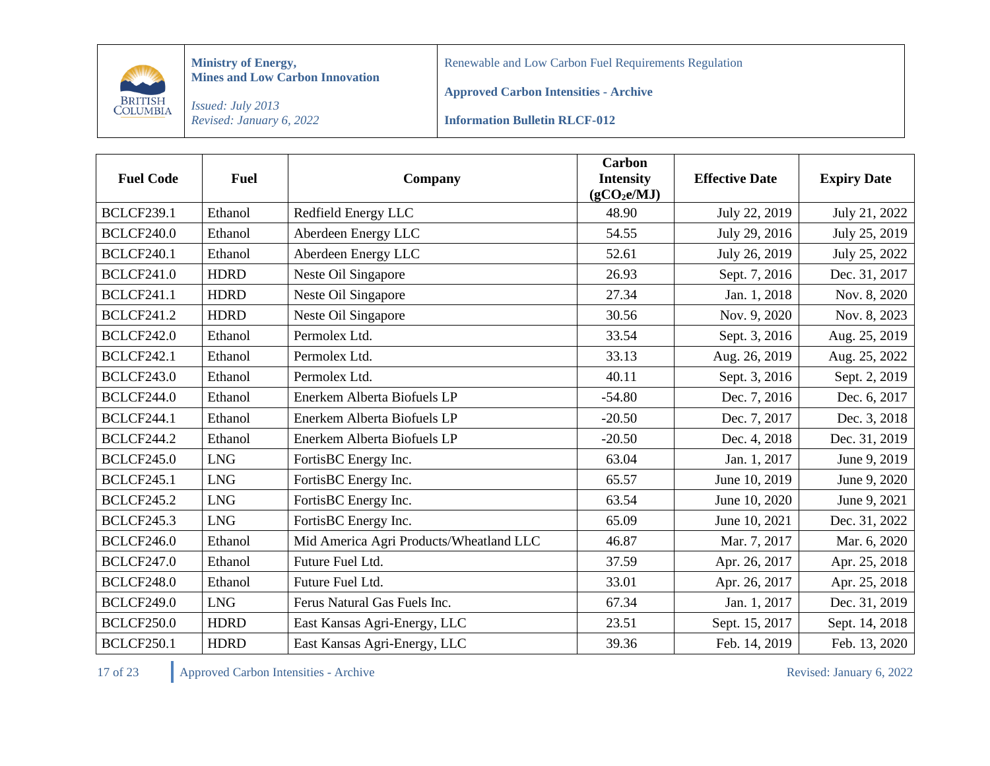

Renewable and Low Carbon Fuel Requirements Regulation

**Approved Carbon Intensities - Archive**

*Issued: July 2013 Revised: January 6, 2022*

**Information Bulletin RLCF-012**

| <b>Fuel Code</b>  | <b>Fuel</b> | Company                                 | <b>Carbon</b><br><b>Intensity</b><br>(gCO <sub>2</sub> e/MJ) | <b>Effective Date</b> | <b>Expiry Date</b> |
|-------------------|-------------|-----------------------------------------|--------------------------------------------------------------|-----------------------|--------------------|
| <b>BCLCF239.1</b> | Ethanol     | Redfield Energy LLC                     | 48.90                                                        | July 22, 2019         | July 21, 2022      |
| <b>BCLCF240.0</b> | Ethanol     | Aberdeen Energy LLC                     | 54.55                                                        | July 29, 2016         | July 25, 2019      |
| <b>BCLCF240.1</b> | Ethanol     | Aberdeen Energy LLC                     | 52.61                                                        | July 26, 2019         | July 25, 2022      |
| <b>BCLCF241.0</b> | <b>HDRD</b> | Neste Oil Singapore                     | 26.93                                                        | Sept. 7, 2016         | Dec. 31, 2017      |
| <b>BCLCF241.1</b> | <b>HDRD</b> | Neste Oil Singapore                     | 27.34                                                        | Jan. 1, 2018          | Nov. 8, 2020       |
| <b>BCLCF241.2</b> | <b>HDRD</b> | Neste Oil Singapore                     | 30.56                                                        | Nov. 9, 2020          | Nov. 8, 2023       |
| <b>BCLCF242.0</b> | Ethanol     | Permolex Ltd.                           | 33.54                                                        | Sept. 3, 2016         | Aug. 25, 2019      |
| <b>BCLCF242.1</b> | Ethanol     | Permolex Ltd.                           | 33.13                                                        | Aug. 26, 2019         | Aug. 25, 2022      |
| <b>BCLCF243.0</b> | Ethanol     | Permolex Ltd.                           | 40.11                                                        | Sept. 3, 2016         | Sept. 2, 2019      |
| <b>BCLCF244.0</b> | Ethanol     | Enerkem Alberta Biofuels LP             | $-54.80$                                                     | Dec. 7, 2016          | Dec. 6, 2017       |
| <b>BCLCF244.1</b> | Ethanol     | Enerkem Alberta Biofuels LP             | $-20.50$                                                     | Dec. 7, 2017          | Dec. 3, 2018       |
| <b>BCLCF244.2</b> | Ethanol     | Enerkem Alberta Biofuels LP             | $-20.50$                                                     | Dec. 4, 2018          | Dec. 31, 2019      |
| <b>BCLCF245.0</b> | <b>LNG</b>  | FortisBC Energy Inc.                    | 63.04                                                        | Jan. 1, 2017          | June 9, 2019       |
| <b>BCLCF245.1</b> | <b>LNG</b>  | FortisBC Energy Inc.                    | 65.57                                                        | June 10, 2019         | June 9, 2020       |
| <b>BCLCF245.2</b> | <b>LNG</b>  | FortisBC Energy Inc.                    | 63.54                                                        | June 10, 2020         | June 9, 2021       |
| <b>BCLCF245.3</b> | <b>LNG</b>  | FortisBC Energy Inc.                    | 65.09                                                        | June 10, 2021         | Dec. 31, 2022      |
| <b>BCLCF246.0</b> | Ethanol     | Mid America Agri Products/Wheatland LLC | 46.87                                                        | Mar. 7, 2017          | Mar. 6, 2020       |
| <b>BCLCF247.0</b> | Ethanol     | Future Fuel Ltd.                        | 37.59                                                        | Apr. 26, 2017         | Apr. 25, 2018      |
| <b>BCLCF248.0</b> | Ethanol     | Future Fuel Ltd.                        | 33.01                                                        | Apr. 26, 2017         | Apr. 25, 2018      |
| <b>BCLCF249.0</b> | <b>LNG</b>  | Ferus Natural Gas Fuels Inc.            | 67.34                                                        | Jan. 1, 2017          | Dec. 31, 2019      |
| <b>BCLCF250.0</b> | <b>HDRD</b> | East Kansas Agri-Energy, LLC            | 23.51                                                        | Sept. 15, 2017        | Sept. 14, 2018     |
| <b>BCLCF250.1</b> | <b>HDRD</b> | East Kansas Agri-Energy, LLC            | 39.36                                                        | Feb. 14, 2019         | Feb. 13, 2020      |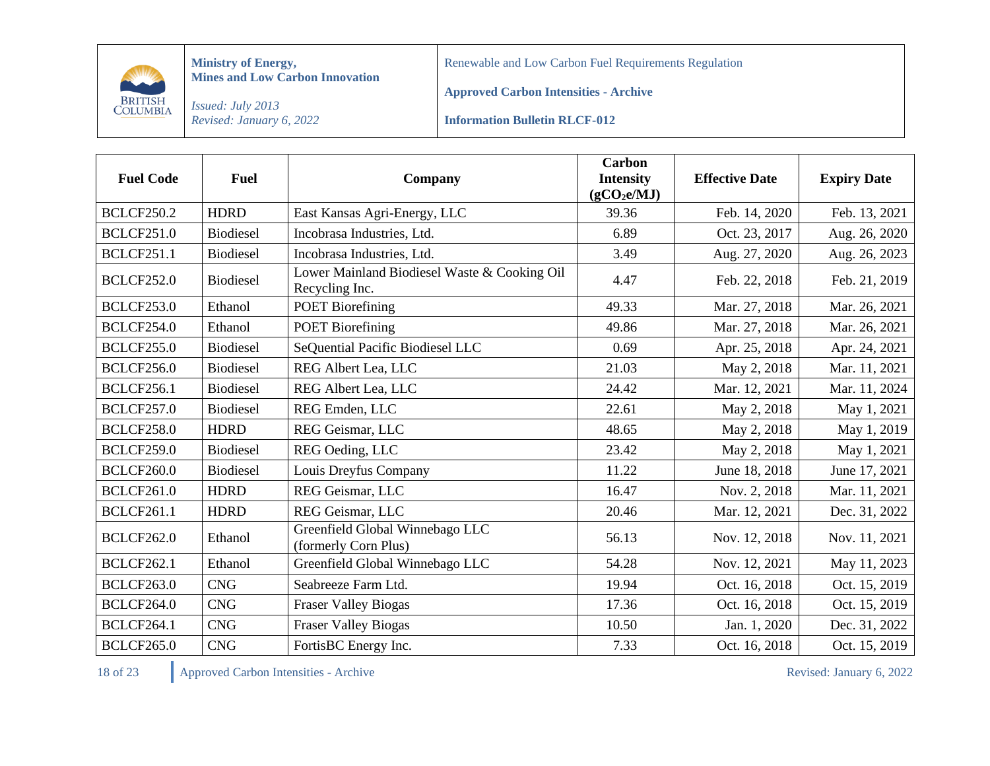

Renewable and Low Carbon Fuel Requirements Regulation

**Approved Carbon Intensities - Archive**

*Issued: July 2013 Revised: January 6, 2022*

**Information Bulletin RLCF-012**

| <b>Fuel Code</b>  | <b>Fuel</b>      | Company                                                        | <b>Carbon</b><br><b>Intensity</b><br>(gCO <sub>2</sub> e/MJ) | <b>Effective Date</b> | <b>Expiry Date</b> |
|-------------------|------------------|----------------------------------------------------------------|--------------------------------------------------------------|-----------------------|--------------------|
| <b>BCLCF250.2</b> | <b>HDRD</b>      | East Kansas Agri-Energy, LLC                                   | 39.36                                                        | Feb. 14, 2020         | Feb. 13, 2021      |
| <b>BCLCF251.0</b> | <b>Biodiesel</b> | Incobrasa Industries, Ltd.                                     | 6.89                                                         | Oct. 23, 2017         | Aug. 26, 2020      |
| <b>BCLCF251.1</b> | <b>Biodiesel</b> | Incobrasa Industries, Ltd.                                     | 3.49                                                         | Aug. 27, 2020         | Aug. 26, 2023      |
| <b>BCLCF252.0</b> | <b>Biodiesel</b> | Lower Mainland Biodiesel Waste & Cooking Oil<br>Recycling Inc. | 4.47                                                         | Feb. 22, 2018         | Feb. 21, 2019      |
| <b>BCLCF253.0</b> | Ethanol          | <b>POET Biorefining</b>                                        | 49.33                                                        | Mar. 27, 2018         | Mar. 26, 2021      |
| <b>BCLCF254.0</b> | Ethanol          | <b>POET Biorefining</b>                                        | 49.86                                                        | Mar. 27, 2018         | Mar. 26, 2021      |
| <b>BCLCF255.0</b> | <b>Biodiesel</b> | SeQuential Pacific Biodiesel LLC                               | 0.69                                                         | Apr. 25, 2018         | Apr. 24, 2021      |
| <b>BCLCF256.0</b> | <b>Biodiesel</b> | REG Albert Lea, LLC                                            | 21.03                                                        | May 2, 2018           | Mar. 11, 2021      |
| <b>BCLCF256.1</b> | <b>Biodiesel</b> | REG Albert Lea, LLC                                            | 24.42                                                        | Mar. 12, 2021         | Mar. 11, 2024      |
| <b>BCLCF257.0</b> | <b>Biodiesel</b> | REG Emden, LLC                                                 | 22.61                                                        | May 2, 2018           | May 1, 2021        |
| <b>BCLCF258.0</b> | <b>HDRD</b>      | REG Geismar, LLC                                               | 48.65                                                        | May 2, 2018           | May 1, 2019        |
| <b>BCLCF259.0</b> | <b>Biodiesel</b> | REG Oeding, LLC                                                | 23.42                                                        | May 2, 2018           | May 1, 2021        |
| <b>BCLCF260.0</b> | <b>Biodiesel</b> | Louis Dreyfus Company                                          | 11.22                                                        | June 18, 2018         | June 17, 2021      |
| <b>BCLCF261.0</b> | <b>HDRD</b>      | REG Geismar, LLC                                               | 16.47                                                        | Nov. 2, 2018          | Mar. 11, 2021      |
| <b>BCLCF261.1</b> | <b>HDRD</b>      | REG Geismar, LLC                                               | 20.46                                                        | Mar. 12, 2021         | Dec. 31, 2022      |
| <b>BCLCF262.0</b> | Ethanol          | Greenfield Global Winnebago LLC<br>(formerly Corn Plus)        | 56.13                                                        | Nov. 12, 2018         | Nov. 11, 2021      |
| <b>BCLCF262.1</b> | Ethanol          | Greenfield Global Winnebago LLC                                | 54.28                                                        | Nov. 12, 2021         | May 11, 2023       |
| <b>BCLCF263.0</b> | <b>CNG</b>       | Seabreeze Farm Ltd.                                            | 19.94                                                        | Oct. 16, 2018         | Oct. 15, 2019      |
| <b>BCLCF264.0</b> | <b>CNG</b>       | <b>Fraser Valley Biogas</b>                                    | 17.36                                                        | Oct. 16, 2018         | Oct. 15, 2019      |
| <b>BCLCF264.1</b> | <b>CNG</b>       | <b>Fraser Valley Biogas</b>                                    | 10.50                                                        | Jan. 1, 2020          | Dec. 31, 2022      |
| <b>BCLCF265.0</b> | <b>CNG</b>       | FortisBC Energy Inc.                                           | 7.33                                                         | Oct. 16, 2018         | Oct. 15, 2019      |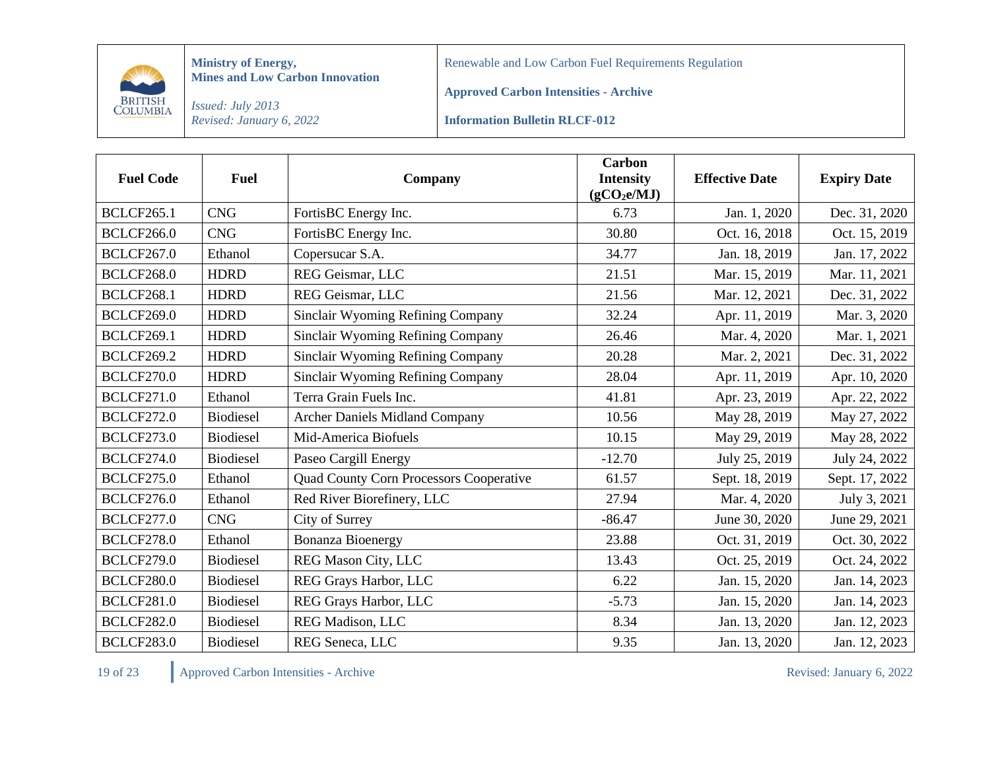

Renewable and Low Carbon Fuel Requirements Regulation

**Approved Carbon Intensities - Archive**

*Issued: July 2013 Revised: January 6, 2022*

**Information Bulletin RLCF-012**

| <b>Fuel Code</b>  | <b>Fuel</b>      | Company                                        | <b>Carbon</b><br><b>Intensity</b><br>(gCO <sub>2</sub> e/MJ) | <b>Effective Date</b> | <b>Expiry Date</b> |
|-------------------|------------------|------------------------------------------------|--------------------------------------------------------------|-----------------------|--------------------|
| <b>BCLCF265.1</b> | <b>CNG</b>       | FortisBC Energy Inc.                           | 6.73                                                         | Jan. 1, 2020          | Dec. 31, 2020      |
| <b>BCLCF266.0</b> | <b>CNG</b>       | FortisBC Energy Inc.                           | 30.80                                                        | Oct. 16, 2018         | Oct. 15, 2019      |
| <b>BCLCF267.0</b> | Ethanol          | Copersucar S.A.                                | 34.77                                                        | Jan. 18, 2019         | Jan. 17, 2022      |
| <b>BCLCF268.0</b> | <b>HDRD</b>      | REG Geismar, LLC                               | 21.51                                                        | Mar. 15, 2019         | Mar. 11, 2021      |
| <b>BCLCF268.1</b> | <b>HDRD</b>      | REG Geismar, LLC                               | 21.56                                                        | Mar. 12, 2021         | Dec. 31, 2022      |
| <b>BCLCF269.0</b> | <b>HDRD</b>      | Sinclair Wyoming Refining Company              | 32.24                                                        | Apr. 11, 2019         | Mar. 3, 2020       |
| <b>BCLCF269.1</b> | <b>HDRD</b>      | Sinclair Wyoming Refining Company              | 26.46                                                        | Mar. 4, 2020          | Mar. 1, 2021       |
| <b>BCLCF269.2</b> | <b>HDRD</b>      | Sinclair Wyoming Refining Company              | 20.28                                                        | Mar. 2, 2021          | Dec. 31, 2022      |
| <b>BCLCF270.0</b> | <b>HDRD</b>      | Sinclair Wyoming Refining Company              | 28.04                                                        | Apr. 11, 2019         | Apr. 10, 2020      |
| <b>BCLCF271.0</b> | Ethanol          | Terra Grain Fuels Inc.                         | 41.81                                                        | Apr. 23, 2019         | Apr. 22, 2022      |
| <b>BCLCF272.0</b> | <b>Biodiesel</b> | <b>Archer Daniels Midland Company</b>          | 10.56                                                        | May 28, 2019          | May 27, 2022       |
| <b>BCLCF273.0</b> | <b>Biodiesel</b> | Mid-America Biofuels                           | 10.15                                                        | May 29, 2019          | May 28, 2022       |
| <b>BCLCF274.0</b> | <b>Biodiesel</b> | Paseo Cargill Energy                           | $-12.70$                                                     | July 25, 2019         | July 24, 2022      |
| <b>BCLCF275.0</b> | Ethanol          | <b>Quad County Corn Processors Cooperative</b> | 61.57                                                        | Sept. 18, 2019        | Sept. 17, 2022     |
| <b>BCLCF276.0</b> | Ethanol          | Red River Biorefinery, LLC                     | 27.94                                                        | Mar. 4, 2020          | July 3, 2021       |
| <b>BCLCF277.0</b> | <b>CNG</b>       | City of Surrey                                 | $-86.47$                                                     | June 30, 2020         | June 29, 2021      |
| <b>BCLCF278.0</b> | Ethanol          | <b>Bonanza Bioenergy</b>                       | 23.88                                                        | Oct. 31, 2019         | Oct. 30, 2022      |
| <b>BCLCF279.0</b> | <b>Biodiesel</b> | REG Mason City, LLC                            | 13.43                                                        | Oct. 25, 2019         | Oct. 24, 2022      |
| <b>BCLCF280.0</b> | <b>Biodiesel</b> | REG Grays Harbor, LLC                          | 6.22                                                         | Jan. 15, 2020         | Jan. 14, 2023      |
| <b>BCLCF281.0</b> | <b>Biodiesel</b> | REG Grays Harbor, LLC                          | $-5.73$                                                      | Jan. 15, 2020         | Jan. 14, 2023      |
| <b>BCLCF282.0</b> | <b>Biodiesel</b> | <b>REG Madison, LLC</b>                        | 8.34                                                         | Jan. 13, 2020         | Jan. 12, 2023      |
| <b>BCLCF283.0</b> | <b>Biodiesel</b> | REG Seneca, LLC                                | 9.35                                                         | Jan. 13, 2020         | Jan. 12, 2023      |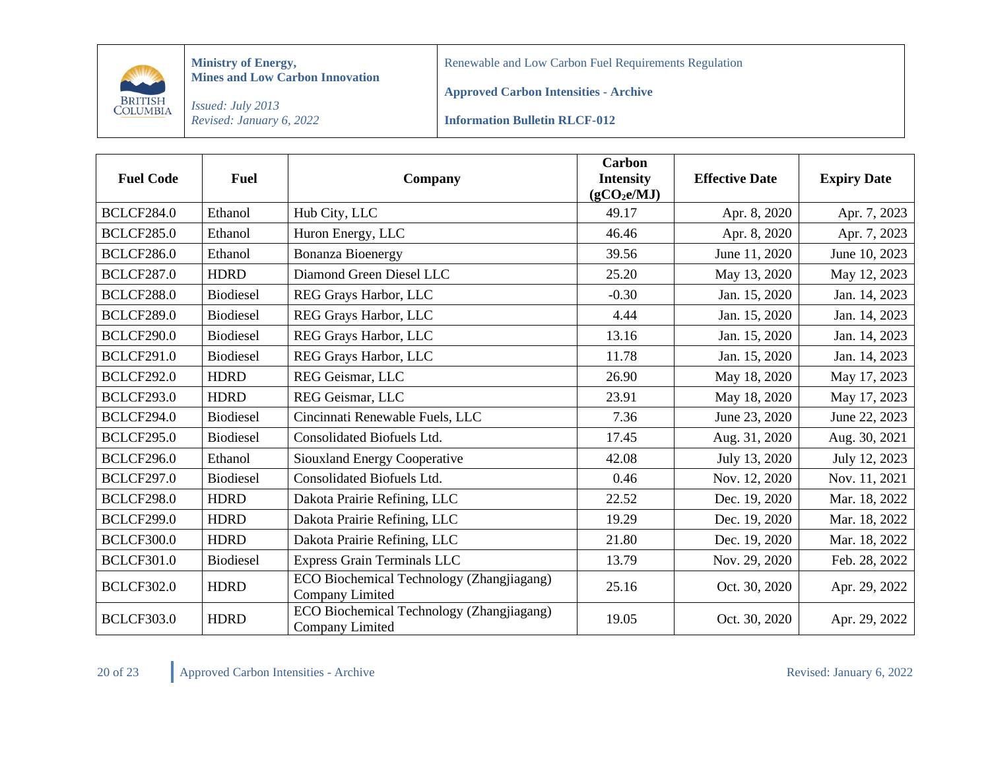

Renewable and Low Carbon Fuel Requirements Regulation

**Approved Carbon Intensities - Archive**

*Issued: July 2013 Revised: January 6, 2022*

**Information Bulletin RLCF-012**

| <b>Fuel Code</b>  | <b>Fuel</b>      | Company                                                      | Carbon<br><b>Intensity</b><br>(gCO <sub>2</sub> e/MJ) | <b>Effective Date</b> | <b>Expiry Date</b> |
|-------------------|------------------|--------------------------------------------------------------|-------------------------------------------------------|-----------------------|--------------------|
| <b>BCLCF284.0</b> | Ethanol          | Hub City, LLC                                                | 49.17                                                 | Apr. 8, 2020          | Apr. 7, 2023       |
| <b>BCLCF285.0</b> | Ethanol          | Huron Energy, LLC                                            | 46.46                                                 | Apr. 8, 2020          | Apr. 7, 2023       |
| <b>BCLCF286.0</b> | Ethanol          | <b>Bonanza Bioenergy</b>                                     | 39.56                                                 | June 11, 2020         | June 10, 2023      |
| <b>BCLCF287.0</b> | <b>HDRD</b>      | Diamond Green Diesel LLC                                     | 25.20                                                 | May 13, 2020          | May 12, 2023       |
| <b>BCLCF288.0</b> | <b>Biodiesel</b> | REG Grays Harbor, LLC                                        | $-0.30$                                               | Jan. 15, 2020         | Jan. 14, 2023      |
| <b>BCLCF289.0</b> | <b>Biodiesel</b> | REG Grays Harbor, LLC                                        | 4.44                                                  | Jan. 15, 2020         | Jan. 14, 2023      |
| <b>BCLCF290.0</b> | <b>Biodiesel</b> | REG Grays Harbor, LLC                                        | 13.16                                                 | Jan. 15, 2020         | Jan. 14, 2023      |
| <b>BCLCF291.0</b> | <b>Biodiesel</b> | REG Grays Harbor, LLC                                        | 11.78                                                 | Jan. 15, 2020         | Jan. 14, 2023      |
| <b>BCLCF292.0</b> | <b>HDRD</b>      | REG Geismar, LLC                                             | 26.90                                                 | May 18, 2020          | May 17, 2023       |
| <b>BCLCF293.0</b> | <b>HDRD</b>      | REG Geismar, LLC                                             | 23.91                                                 | May 18, 2020          | May 17, 2023       |
| <b>BCLCF294.0</b> | <b>Biodiesel</b> | Cincinnati Renewable Fuels, LLC                              | 7.36                                                  | June 23, 2020         | June 22, 2023      |
| <b>BCLCF295.0</b> | <b>Biodiesel</b> | Consolidated Biofuels Ltd.                                   | 17.45                                                 | Aug. 31, 2020         | Aug. 30, 2021      |
| <b>BCLCF296.0</b> | Ethanol          | <b>Siouxland Energy Cooperative</b>                          | 42.08                                                 | July 13, 2020         | July 12, 2023      |
| <b>BCLCF297.0</b> | <b>Biodiesel</b> | Consolidated Biofuels Ltd.                                   | 0.46                                                  | Nov. 12, 2020         | Nov. 11, 2021      |
| <b>BCLCF298.0</b> | <b>HDRD</b>      | Dakota Prairie Refining, LLC                                 | 22.52                                                 | Dec. 19, 2020         | Mar. 18, 2022      |
| <b>BCLCF299.0</b> | <b>HDRD</b>      | Dakota Prairie Refining, LLC                                 | 19.29                                                 | Dec. 19, 2020         | Mar. 18, 2022      |
| <b>BCLCF300.0</b> | <b>HDRD</b>      | Dakota Prairie Refining, LLC                                 | 21.80                                                 | Dec. 19, 2020         | Mar. 18, 2022      |
| <b>BCLCF301.0</b> | <b>Biodiesel</b> | <b>Express Grain Terminals LLC</b>                           | 13.79                                                 | Nov. 29, 2020         | Feb. 28, 2022      |
| <b>BCLCF302.0</b> | <b>HDRD</b>      | ECO Biochemical Technology (Zhangjiagang)<br>Company Limited | 25.16                                                 | Oct. 30, 2020         | Apr. 29, 2022      |
| <b>BCLCF303.0</b> | <b>HDRD</b>      | ECO Biochemical Technology (Zhangjiagang)<br>Company Limited | 19.05                                                 | Oct. 30, 2020         | Apr. 29, 2022      |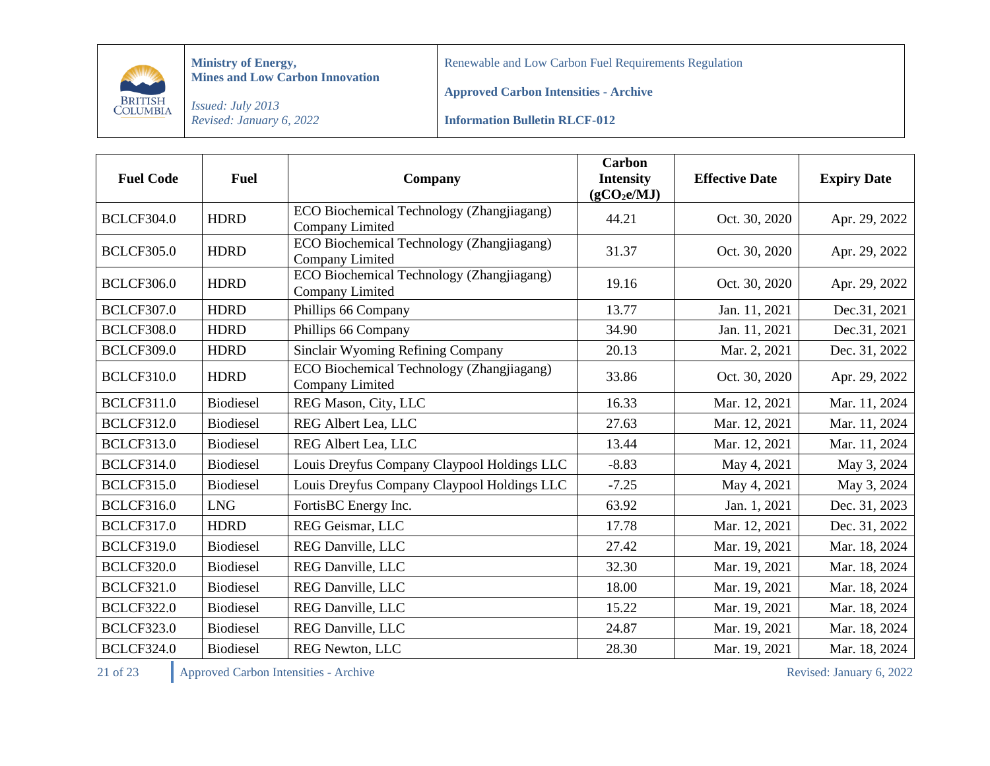

Renewable and Low Carbon Fuel Requirements Regulation

**Approved Carbon Intensities - Archive**

*Issued: July 2013 Revised: January 6, 2022*

**Information Bulletin RLCF-012**

| <b>Fuel Code</b>  | <b>Fuel</b>      | Company                                                      | <b>Carbon</b><br><b>Intensity</b><br>(gCO <sub>2</sub> e/MJ) | <b>Effective Date</b> | <b>Expiry Date</b> |
|-------------------|------------------|--------------------------------------------------------------|--------------------------------------------------------------|-----------------------|--------------------|
| <b>BCLCF304.0</b> | <b>HDRD</b>      | ECO Biochemical Technology (Zhangjiagang)<br>Company Limited | 44.21                                                        | Oct. 30, 2020         | Apr. 29, 2022      |
| <b>BCLCF305.0</b> | <b>HDRD</b>      | ECO Biochemical Technology (Zhangjiagang)<br>Company Limited | 31.37                                                        | Oct. 30, 2020         | Apr. 29, 2022      |
| <b>BCLCF306.0</b> | <b>HDRD</b>      | ECO Biochemical Technology (Zhangjiagang)<br>Company Limited | 19.16                                                        | Oct. 30, 2020         | Apr. 29, 2022      |
| <b>BCLCF307.0</b> | <b>HDRD</b>      | Phillips 66 Company                                          | 13.77                                                        | Jan. 11, 2021         | Dec.31, 2021       |
| <b>BCLCF308.0</b> | <b>HDRD</b>      | Phillips 66 Company                                          | 34.90                                                        | Jan. 11, 2021         | Dec.31, 2021       |
| <b>BCLCF309.0</b> | <b>HDRD</b>      | Sinclair Wyoming Refining Company                            | 20.13                                                        | Mar. 2, 2021          | Dec. 31, 2022      |
| <b>BCLCF310.0</b> | <b>HDRD</b>      | ECO Biochemical Technology (Zhangjiagang)<br>Company Limited | 33.86                                                        | Oct. 30, 2020         | Apr. 29, 2022      |
| <b>BCLCF311.0</b> | <b>Biodiesel</b> | REG Mason, City, LLC                                         | 16.33                                                        | Mar. 12, 2021         | Mar. 11, 2024      |
| <b>BCLCF312.0</b> | <b>Biodiesel</b> | REG Albert Lea, LLC                                          | 27.63                                                        | Mar. 12, 2021         | Mar. 11, 2024      |
| <b>BCLCF313.0</b> | <b>Biodiesel</b> | REG Albert Lea, LLC                                          | 13.44                                                        | Mar. 12, 2021         | Mar. 11, 2024      |
| <b>BCLCF314.0</b> | <b>Biodiesel</b> | Louis Dreyfus Company Claypool Holdings LLC                  | $-8.83$                                                      | May 4, 2021           | May 3, 2024        |
| <b>BCLCF315.0</b> | <b>Biodiesel</b> | Louis Dreyfus Company Claypool Holdings LLC                  | $-7.25$                                                      | May 4, 2021           | May 3, 2024        |
| <b>BCLCF316.0</b> | <b>LNG</b>       | FortisBC Energy Inc.                                         | 63.92                                                        | Jan. 1, 2021          | Dec. 31, 2023      |
| <b>BCLCF317.0</b> | <b>HDRD</b>      | REG Geismar, LLC                                             | 17.78                                                        | Mar. 12, 2021         | Dec. 31, 2022      |
| <b>BCLCF319.0</b> | <b>Biodiesel</b> | <b>REG Danville, LLC</b>                                     | 27.42                                                        | Mar. 19, 2021         | Mar. 18, 2024      |
| <b>BCLCF320.0</b> | <b>Biodiesel</b> | <b>REG Danville, LLC</b>                                     | 32.30                                                        | Mar. 19, 2021         | Mar. 18, 2024      |
| <b>BCLCF321.0</b> | <b>Biodiesel</b> | REG Danville, LLC                                            | 18.00                                                        | Mar. 19, 2021         | Mar. 18, 2024      |
| <b>BCLCF322.0</b> | <b>Biodiesel</b> | REG Danville, LLC                                            | 15.22                                                        | Mar. 19, 2021         | Mar. 18, 2024      |
| <b>BCLCF323.0</b> | <b>Biodiesel</b> | REG Danville, LLC                                            | 24.87                                                        | Mar. 19, 2021         | Mar. 18, 2024      |
| <b>BCLCF324.0</b> | <b>Biodiesel</b> | <b>REG Newton, LLC</b>                                       | 28.30                                                        | Mar. 19, 2021         | Mar. 18, 2024      |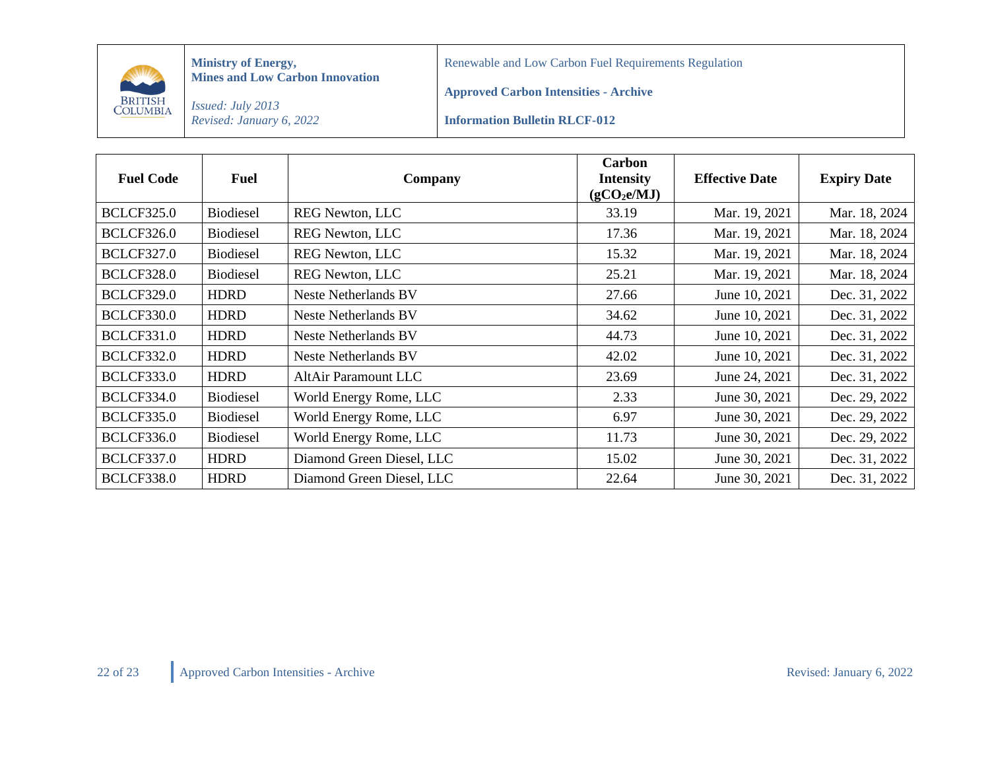

Renewable and Low Carbon Fuel Requirements Regulation

**Approved Carbon Intensities - Archive**

*Issued: July 2013 Revised: January 6, 2022*

**Information Bulletin RLCF-012**

| <b>Fuel Code</b>  | Fuel             | Company                     | Carbon<br><b>Intensity</b><br>(gCO <sub>2</sub> e/MJ) | <b>Effective Date</b> | <b>Expiry Date</b> |
|-------------------|------------------|-----------------------------|-------------------------------------------------------|-----------------------|--------------------|
| <b>BCLCF325.0</b> | <b>Biodiesel</b> | <b>REG Newton, LLC</b>      | 33.19                                                 | Mar. 19, 2021         | Mar. 18, 2024      |
| <b>BCLCF326.0</b> | <b>Biodiesel</b> | <b>REG Newton, LLC</b>      | 17.36                                                 | Mar. 19, 2021         | Mar. 18, 2024      |
| <b>BCLCF327.0</b> | <b>Biodiesel</b> | <b>REG Newton, LLC</b>      | 15.32                                                 | Mar. 19, 2021         | Mar. 18, 2024      |
| <b>BCLCF328.0</b> | <b>Biodiesel</b> | <b>REG Newton, LLC</b>      | 25.21                                                 | Mar. 19, 2021         | Mar. 18, 2024      |
| <b>BCLCF329.0</b> | <b>HDRD</b>      | <b>Neste Netherlands BV</b> | 27.66                                                 | June 10, 2021         | Dec. 31, 2022      |
| <b>BCLCF330.0</b> | <b>HDRD</b>      | Neste Netherlands BV        | 34.62                                                 | June 10, 2021         | Dec. 31, 2022      |
| <b>BCLCF331.0</b> | <b>HDRD</b>      | <b>Neste Netherlands BV</b> | 44.73                                                 | June 10, 2021         | Dec. 31, 2022      |
| <b>BCLCF332.0</b> | <b>HDRD</b>      | Neste Netherlands BV        | 42.02                                                 | June 10, 2021         | Dec. 31, 2022      |
| <b>BCLCF333.0</b> | <b>HDRD</b>      | <b>AltAir Paramount LLC</b> | 23.69                                                 | June 24, 2021         | Dec. 31, 2022      |
| <b>BCLCF334.0</b> | <b>Biodiesel</b> | World Energy Rome, LLC      | 2.33                                                  | June 30, 2021         | Dec. 29, 2022      |
| <b>BCLCF335.0</b> | <b>Biodiesel</b> | World Energy Rome, LLC      | 6.97                                                  | June 30, 2021         | Dec. 29, 2022      |
| <b>BCLCF336.0</b> | <b>Biodiesel</b> | World Energy Rome, LLC      | 11.73                                                 | June 30, 2021         | Dec. 29, 2022      |
| <b>BCLCF337.0</b> | <b>HDRD</b>      | Diamond Green Diesel, LLC   | 15.02                                                 | June 30, 2021         | Dec. 31, 2022      |
| <b>BCLCF338.0</b> | <b>HDRD</b>      | Diamond Green Diesel, LLC   | 22.64                                                 | June 30, 2021         | Dec. 31, 2022      |